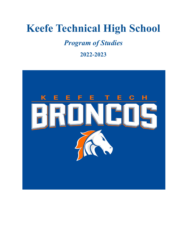# **Keefe Technical High School**

*Program of Studies* **2022-2023**

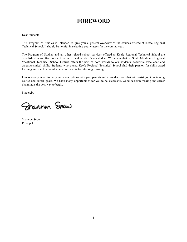## **FOREWORD**

Dear Student:

This Program of Studies is intended to give you a general overview of the courses offered at Keefe Regional Technical School. It should be helpful in selecting your classes for the coming year.

The Program of Studies and all other related school services offered at Keefe Regional Technical School are established in an effort to meet the individual needs of each student. We believe that the South Middlesex Regional Vocational Technical School District offers the best of both worlds to our students: academic excellence and career/technical skills. Students who attend Keefe Regional Technical School find their passion for skills-based learning and meet the academic requirements for life-long learning.

I encourage you to discuss your career options with your parents and make decisions that will assist you in obtaining course and career goals. We have many opportunities for you to be successful. Good decision making and career planning is the best way to begin.

Sincerely,

Frannen Snew

Shannon Snow Principal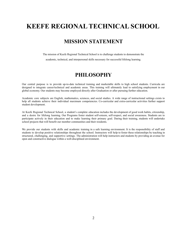# **KEEFE REGIONAL TECHNICAL SCHOOL**

## **MISSION STATEMENT**

The mission of Keefe Regional Technical School is to challenge students to demonstrate the

academic, technical, and interpersonal skills necessary for successful lifelong learning.

## **PHILOSOPHY**

Our central purpose is to provide up-to-date technical training and marketable skills to high school students. Curricula are designed to integrate career/technical and academic areas. This training will ultimately lead to satisfying employment in our global economy. Our students may become employed directly after Graduation or after pursuing further education.

Academic core subjects are English, mathematics, sciences, and social studies. A wide range of instructional settings exists to help all students achieve their individual maximum competencies. Co-curricular and extra-curricular activities further support student development.

At Keefe Regional Technical School, a student's complete education includes the development of good work habits, citizenship, and a desire for lifelong learning. Our Programs foster student self-esteem, self-respect, and social awareness. Students are to participate actively in their education and to make learning their primary goal. During their training, students will undertake school projects that will benefit our member communities and their residents.

We provide our students with skills and academic training in a safe learning environment. It is the responsibility of staff and students to develop positive relationships throughout the school. Instructors will help to foster these relationships by teaching in structured, challenging, and supportive settings. The administration will help instructors and students by providing an avenue for open and constructive dialogue within a well-disciplined environment.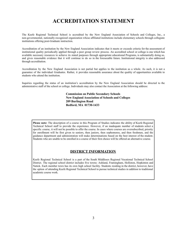## **ACCREDITATION STATEMENT**

The Keefe Regional Technical School is accredited by the New England Association of Schools and Colleges, Inc., a non-governmental, nationally-recognized organization whose affiliated institutions include elementary schools through collegiate institutions offering post-Graduate instruction.

Accreditation of an institution by the New England Association indicates that it meets or exceeds criteria for the assessment of institutional quality periodically applied through a peer group review process. An accredited school or college is one which has available necessary resources to achieve its stated purposes through appropriate educational Programs, is substantially doing so, and gives reasonable evidence that it will continue to do so in the foreseeable future. Institutional integrity is also addressed through accreditation.

Accreditation by the New England Association is not partial but applies to the institution as a whole. As such, it is not a guarantee of the individual Graduates. Rather, it provides reasonable assurance about the quality of opportunities available to students who attend the institution.

Inquiries regarding the status of an institution's accreditation by the New England Association should be directed to the administrative staff of the school or college. Individuals may also contact the Association at the following address:

> **Commission on Public Secondary Schools New England Association of Schools and Colleges 209 Burlington Road Bedford, MA 01730-1433**

**Please note:** The description of a course in this Program of Studies indicates the ability of Keefe Regional Technical School staff to provide the experience. However, if an inadequate number of students select a specific course, it will not be possible to offer the course. In cases where courses are oversubscribed, priority for enrollment will be first given to seniors, then juniors, then sophomores, and then freshmen, and the guidance department and administration will make determinations based on the best interest of the student. Students who are unable to be enrolled in a course of their first choice will be offered an alternative course.

### **DISTRICT INFORMATION**

Keefe Regional Technical School is a part of the South Middlesex Regional Vocational Technical School District. The regional school district includes five towns: Ashland, Framingham, Holliston, Hopkinton and Natick. Each member town has its own high school facility. Students residing in the district, however, have the option of attending Keefe Regional Technical School to pursue technical studies in addition to traditional academic course work.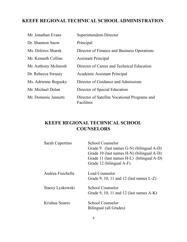## **KEEFE REGIONAL TECHNICAL SCHOOLADMINISTRATION**

| Mr. Jonathan Evans   | Superintendent-Director                                     |
|----------------------|-------------------------------------------------------------|
| Dr. Shannon Snow     | Principal                                                   |
| Ms. Dolores Sharek   | Director of Finance and Business Operations                 |
| Mr. Kenneth Collins  | <b>Assistant Principal</b>                                  |
| Mr. Anthony McIntosh | Director of Career and Technical Education                  |
| Dr. Rebecca Swasey   | <b>Academic Assistant Principal</b>                         |
| Ms. Adrienne Bogusky | Director of Guidance and Admissions                         |
| Mr. Michael Dolan    | Director of Special Education                               |
| Mr. Domenic Jannetti | Director of Satellite Vocational Programs and<br>Facilities |

## **KEEFE REGIONAL TECHNICAL SCHOOL COUNSELORS**

| Sarah Cupertino   | <b>School Counselor</b><br>Grade 9 (last names G-N) (bilingual A-D)<br>Grade 10 (last names H-N) (bilingual A-D)<br>Grade 11 (last names H-L) (bilingual A-D)<br>Grade 12 (bilingual A-F) |
|-------------------|-------------------------------------------------------------------------------------------------------------------------------------------------------------------------------------------|
| Andrea Fisichella | Lead Counselor<br>Grade 9, 10, 11 and 12 (last names $L-Z$ )                                                                                                                              |
| Stacey Lyskowski  | School Counselor<br>Grade 9, 10, 11 and 12 (last names $A-K$ )                                                                                                                            |
| Krishna Soares    | <b>School Counselor</b><br>Bilingual (all Grades)                                                                                                                                         |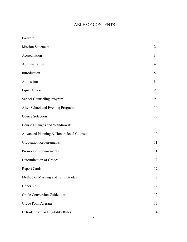## TABLE OF CONTENTS

| Forward                                  | $\mathbf{1}$ |
|------------------------------------------|--------------|
| <b>Mission Statement</b>                 | 2            |
| Accreditation                            | 3            |
| Administration                           | 4            |
| Introduction                             | 8            |
| Admissions                               | 8            |
| <b>Equal Access</b>                      | 9            |
| <b>School Counseling Program</b>         | 9            |
| After School and Evening Programs        | 10           |
| <b>Course Selection</b>                  | 10           |
| Course Changes and Withdrawals           | 10           |
| Advanced Planning & Honors level Courses | 10           |
| <b>Graduation Requirements</b>           | 11           |
| Promotion Requirements                   | 11           |
| Determination of Grades                  | 12           |
| <b>Report Cards</b>                      | 12           |
| Method of Marking and Term Grades        | 12           |
| Honor Roll                               | 12           |
| <b>Grade Conversion Guidelines</b>       | 12           |
| Grade Point Average                      | 13           |
| Extra-Curricular Eligibility Rules       | 14           |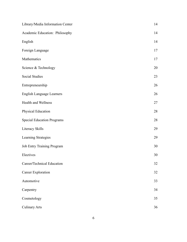| Library/Media Information Center  | 14 |
|-----------------------------------|----|
| Academic Education: Philosophy    | 14 |
| English                           | 14 |
| Foreign Language                  | 17 |
| Mathematics                       | 17 |
| Science & Technology              | 20 |
| Social Studies                    | 23 |
| Entrepreneurship                  | 26 |
| <b>English Language Learners</b>  | 26 |
| <b>Health and Wellness</b>        | 27 |
| Physical Education                | 28 |
| <b>Special Education Programs</b> | 28 |
| Literacy Skills                   | 29 |
| Learning Strategies               | 29 |
| Job Entry Training Program        | 30 |
| Electives                         | 30 |
| Career/Technical Education        | 32 |
| Career Exploration                | 32 |
| Automotive                        | 33 |
| Carpentry                         | 34 |
| Cosmetology                       | 35 |
| <b>Culinary Arts</b>              | 36 |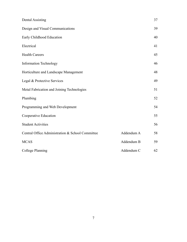| <b>Dental Assisting</b>                          |            | 37 |
|--------------------------------------------------|------------|----|
| Design and Visual Communications                 |            | 39 |
| Early Childhood Education                        |            | 40 |
| Electrical                                       |            | 41 |
| <b>Health Careers</b>                            |            | 45 |
| <b>Information Technology</b>                    |            | 46 |
| Horticulture and Landscape Management            |            | 48 |
| Legal & Protective Services                      |            | 49 |
| Metal Fabrication and Joining Technologies       |            | 51 |
| Plumbing                                         |            | 52 |
| Programming and Web Development                  |            | 54 |
| Cooperative Education                            |            | 55 |
| <b>Student Activities</b>                        |            | 56 |
| Central Office Administration & School Committee | Addendum A | 58 |
| <b>MCAS</b>                                      | Addendum B | 59 |
| College Planning                                 | Addendum C | 62 |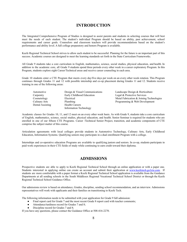## **INTRODUCTION**

The Integrated Comprehensive Program of Studies is designed to assist parents and students in selecting courses that will best meet the needs of each student. The student's individual Program should be based on ability, past achievement, school requirements and career goals. Counselors and classroom teachers will provide recommendations based on the student's performance and ability level. A full college preparatory and honors Program is available.

Keefe Regional Technical School strives to allow each student to be successful. Planning for the future is an important part of this success. Academic courses are designed to meet the learning standards set forth in the State Curriculum Frameworks.

All Grade 9 students take a core curriculum in English, mathematics, science, social studies, physical education, and health. In addition to the academic core, all Grade 9 students spend three periods every other week in a career exploratory Program. In this Program, students explore eight Career/Technical areas and receive career counseling in each area.

Grade 10 students enter a CTE Program that meets every day/five days per week on an every other week rotation. This Program continues through Grades 11 and 12 with possible internship and co-op placement during Grades 11 and 12. Students receive training in one of the following areas:

Dental Assisting Health Careers

Carpentry Early Childhood Education Legal & Protective Services Information Technology

Automotive Design & Visual Communications Landscape Design & Horticulture Cosmetology Electrical Electrical Metal Fabrication & Joining Technologies Culinary Arts Plumbing Programming & Web Development

Academic classes for Grades 10, 11, and 12 meet on an every other week basis. As with Grade 9, students take a core curriculum of English, mathematics, science, social studies, physical education, and health. Senior Seminar is required for students who are enrolled in one of our fifteen CTE Programs. Career /Technical Senior Project, transition, and academic components of CTE comprise the subject matter of this course.

Articulation agreements with local colleges provide students in Automotive Technology, Culinary Arts, Early Childhood Education, Information Systems. Qualifying seniors may participate in a dual enrollment Program with a college.

Internships and co-operative education Programs are available to qualifying juniors and seniors. In co-op, students participate in paid work experiences in their CTE fields of study while continuing to earn credit toward their diploma.

## **ADMISSIONS**

Prospective students are able to apply to Keefe Regional Technical School through an online application or with a paper one. Students interested in applying online can create an account and submit their application at [www.keefetech.go2cte.com.](http://www.keefetech.go2cte.com) If students are more comfortable with a paper format a Keefe Regional Technical School application is available from the Guidance Departments at all sending schools in the South Middlesex Regional Vocational Technical School District or through the Keefe Regional Technical School Guidance Office.

Our admissions review is based on attendance, Grades, discipline, sending school recommendation, and an interview. Admissions representatives will work with applicants and their families on transitioning to Keefe Tech.

The following information needs to be submitted with your application for Grade 9 fall admission:

- Final report card for Grade 7 and the most recent Grade 8 report card with teacher comments;
- Attendance/tardiness record for Grades 7 and 8;
- Discipline record for Grades 7 and 8;

If you have any questions, please contact the Guidance Office at 508-416-2270.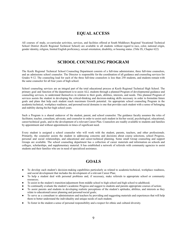## **EQUALACCESS**

All courses of study, co-curricular activities, services, and facilities offered at South Middlesex Regional Vocational Technical School District (Keefe Regional Technical School) are available to all students without regard to race, color, national origin, gender identity, religion, limited English proficiency, sexual orientation, disability, or housing status. (Title IX, Chapter 622)

## **SCHOOL COUNSELING PROGRAM**

The Keefe Regional Technical School Counseling Department consists of a full-time administrator, three full-time counselors, and an admissions school counselor. The Director is responsible for the coordination of all guidance and counseling services for Grades 9-12. The counseling load for each of the three full-time counselors is less than 250 students, and students remain with the same counselor for all four years of high school.

School counseling services are an integral part of the total educational process at Keefe Regional Technical High School. The primary goal and function of the department is to assist ALL students through a planned Program of developmental guidance and counseling services, to understand themselves in relation to their goals, abilities, interests, and needs. This planned Program of services assists the student in developing the critical-thinking and decision-making skills necessary in order to formulate future goals and plans that help each student reach maximum Growth potential. An appropriate school counseling Program in the academic/technical, workplace readiness, and personal/social domains is one that provides each student with a sense of belonging and stability during his/her high school years.

Such a Program is a shared endeavor of the student, parent, and school counselor. The guidance faculty assumes the roles of facilitator, teacher, consultant, advocate, and counselor in order to assist each student in his/her social, psychological, educational, career/technical goals, and in the development of a relevant Career Plan. Counselors are readily available to students and families by appointment and without appointments in times of significant need.

Every student is assigned a school counselor who will work with the student, parents, teachers, and other professionals. Primarily, the counselor assists the student in addressing concerns and decisions about course selections, school Progress, personal and social relationships, and educational and career-technical planning. Some small Group counseling and support Groups are available. The school counseling department has a collection of career materials and information on schools and colleges, scholarships, and supplementary material. It has established a network of referrals with community agencies to assist students and their families who are in need of specialized assistance.

## **GOALS**

- To develop each student's decision-making capabilities particularly as related to academic/technical, workplace readiness, and social development that includes the development of a relevant Career Plan;
- To help a student deal with personal problems and, if necessary, make referrals to appropriate school or community resources;
- To assist in the student's transition/adjustment from middle school to high school and high school to adulthood;
- To continually evaluate the student's academic Progress and suggest to students and parents appropriate courses of action;
- To assist parents and students in developing realistic perceptions of the student's aptitudes, abilities, and interests as they relate to educational/career planning and personal/social goals;
- To serve as a consultant to administrators and teachers by providing and suggesting materials and experiences that will help them to better understand the individuality and unique needs of each student;
- To foster in the student a sense of personal responsibility and a respect for ethnic and cultural diversity.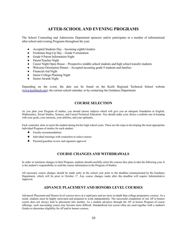## **AFTER-SCHOOLAND EVENING PROGRAMS**

The School Counseling and Admissions Department sponsors and/or participates in a number of informational after-school and evening Programs throughout the year:

- Accepted Students Day Incoming eighth Graders
- Freshmen Step-Up Day Grade 9 orientation
- Grade 9 Parent Information Night
- Parent/Teacher Night
- Career Night Open House Prospective middle school students and high school transfer students
- Welcome Orientation Dinner Accepted incoming grade 9 students and families
- Financial Aid Night
- Junior College Planning Night
- Senior Awards Night

Depending on the event, the date can be found on the Keefe Regional Technical School website [\(www.keefetech.org\)](http://www.keefetech.org), the current school calendar, or by contacting the Guidance Department.

### **COURSE SELECTION**

As you plan your Program of studies, you should choose subjects which will give you an adequate foundation in English, Mathematics, Social Studies, Science, and Career/Technical Education. You should make your choice a realistic one in keeping with your goals, your interests, your abilities, and your aptitudes.

Each counselor aims to assist the student during his/her high school years. These are the steps in developing the most appropriate individual Program of studies for each student:

- Faculty recommendations
- Individual meetings with counselors to select courses
- Parental/guardian review and signature approval

### **COURSE CHANGES AND WITHDRAWALS**

In order to minimize changes in their Program, students should carefully select the courses they plan to take the following year. It is the student's responsibility to read the course information in the Program of Studies.

All necessary course changes should be made early in the school year prior to the deadline communicated by the Guidance Department, which will be prior to October 1<sup>st</sup>. Any course changes made after this deadline will require Administrative Approval.

### **ADVANCE PLACEMENT AND HONORS LEVEL COURSES**

Advanced Placement and Honors level courses move at a rapid pace and are more in-depth than college preparatory courses. As a result, students must be highly motivated and prepared to work independently. The successful completion of one AP or honors course does not always lead to placement into another. As a student advances through the AP or honors Program of course offerings, each succeeding course may become more difficult. Standardized test scores often are used together with a student's Grades to determine eligibility for AP and/or honors courses.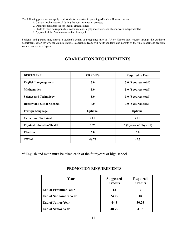The following prerequisites apply to all students interested in pursuing AP and/or Honors courses:

- 1. Current teacher approval during the course selection process;
- 2. Departmental approval for special circumstances;
- 3. Students must be responsible, conscientious, highly motivated, and able to work independently;
- 4. Approval of the Academic Assistant Principal.

Students and parents may appeal a student's denial of acceptance into an AP or Honors level course through the guidance department. Upon review, the Administrative Leadership Team will notify students and parents of the final placement decision within two weeks of appeal.

## **GRADUATION REQUIREMENTS**

| <b>DISCIPLINE</b>                  | <b>CREDITS</b> | <b>Required to Pass</b> |
|------------------------------------|----------------|-------------------------|
| <b>English Language Arts</b>       | 5.0            | 5.0 (4 courses total)   |
| <b>Mathematics</b>                 | 5.0            | 5.0 (4 courses total)   |
| <b>Science and Technology</b>      | 5.0            | 3.0 (3 courses total)   |
| <b>History and Social Sciences</b> | 4.0            | 3.0 (3 courses total)   |
|                                    |                |                         |
| <b>Foreign Language</b>            | Optional       | Optional                |
| <b>Career and Technical</b>        | 21.0           | 21.0                    |
| <b>Physical Education/Health</b>   | 1.75           | .5 (2 years of Phys Ed) |
| <b>Electives</b>                   | 7.0            | 6.0                     |

\*\*English and math must be taken each of the four years of high school.

### **PROMOTION REQUIREMENTS**

| Year                         | <b>Suggested</b><br><b>Credits</b> | <b>Required</b><br><b>Credits</b> |
|------------------------------|------------------------------------|-----------------------------------|
| <b>End of Freshman Year</b>  | 12                                 |                                   |
| <b>End of Sophomore Year</b> | 24.25                              | 18                                |
| <b>End of Junior Year</b>    | 44.5                               | 30.25                             |
| <b>End of Senior Year</b>    | 48.75                              | 41.5                              |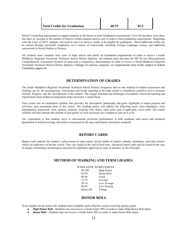| Total Credits for Graduation | 48.75 | 42.5 |
|------------------------------|-------|------|

School Counseling representatives support students in all classes to meet Graduation requirements. Over the last three years there has been an increase in the number of elective credits students need to earn in order to meet graduation requirements. Beginning with the Class of 2019, students will need to earn 6.0 elective credits to be eligible for graduation. These additional credits can be earned through successful completion on a variety of coursework, including Foreign Language courses and additional coursework in Social Studies or Science.

All students must complete four years of high school and satisfy all Graduation requirements in order to receive a South Middlesex Regional Vocational Technical School District diploma. All students must also pass the MCAS test (Massachusetts Comprehension Assessment System) or must earn a competency determination in order to receive a South Middlesex Regional Vocational Technical School District diploma. **Changes in courses, sequence, or requirements may result, subject to School Committee approval.**

### **DETERMINATION OF GRADES**

The South Middlesex Regional Vocational Technical School District recognizes that no one method of student assessment and Grading can be all encompassing. Assessment and Grade reporting at the high school is considered a positive tool to measure Growth, Progress, and the development of the student. The unique demands and challenges of academic classroom learning and experiential career technical preparation make necessary a varied focus.

Each course has an established syllabus that provides the description, philosophy and goals, highlights of major projects and activities, and assessment plan of the course. The Grading policy will address the following areas: class attendance, class participation, homework, tests, quizzes, projects, working with others, class notes, and, if applicable, extra credit. The course syllabus will also indicate the amount of and quality of work necessary for a student to earn an A or B.

Our expectation is that students strive to demonstrate proficient performance in both academic and career and technical preparation in both knowledge and skills as measured by the state and federal curriculum standards.

### **REPORT CARDS**

Report cards indicate the student's achievement in each course, his/her habits of studies, attitude, attendance, and other factors which are indicative of his/her record. They are issued at the end of each term. Advanced report cards may be issued in the case of unique extenuating circumstances and must be separately approved as such, in advance, by the Principal.

### **METHOD OF MARKING AND TERM GRADES**

### SCHOLASTIC ACHIEVEMENT

| $90 - 100$ | <b>High Honor</b> |
|------------|-------------------|
| 85-89      | Honor Roll        |
| 80-84      | Good              |
| 75-79      | Average           |
| 70-74      | Low Average       |
| 60-69      | Low Passing       |
| Below-60   | Failing           |

### **HONOR ROLL**

To be eligible for the honor roll, students must complete each of his/her courses receiving quality points.

- **High Honor Roll –** Students may not receive a Grade below 90% in order to make High Honor Roll status.
- **Honor Roll—Students may not receive a Grade below 80% in order to make Honor Roll status.**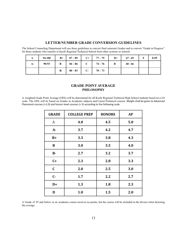### **LETTER/NUMBER GRADE CONVERSION GUIDELINES**

**A 94-100 B+ 87 – 89 C+ 77 – 79 D+ 67 - 69 F 0-59 A- 90-93 B 84 – 86 C 74 – 76 D 60 - 66 B-**  $\begin{array}{|c|c|c|c|c|c|} \hline 80-83 & C- & 70-73 \end{array}$ 

The School Counseling Department will use these guidelines to convert final semester Grades and to convert "Grade in Progress" for those students who transfer to Keefe Regional Technical School from other systems or schools.

### **GRADE POINT AVERAGE PHILOSOPHY**

A weighted Grade Point Average (GPA) will be determined for all Keefe Regional Technical High School students based on a 4.0 scale. The GPA will be based on Grades in Academic subjects and Career/Technical courses. Weight shall be given to Advanced Placement courses (+1.0) and honors level courses (+.5) according to the following scale.

| <b>GRADE</b>   | <b>COLLEGE PREP</b> | <b>HONORS</b> | <b>AP</b> |
|----------------|---------------------|---------------|-----------|
| A              | 4.0                 | 4.5           | 5.0       |
| $A-$           | 3.7                 | 4.2           | 4.7       |
| $B+$           | 3.3                 | 3.8           | 4.3       |
| B              | 3.0                 | 3.5           | 4.0       |
| $\mathbf{B}$ - | 2.7                 | 3.2           | 3.7       |
| $C+$           | 2.3                 | 2.8           | 3.3       |
| $\mathbf C$    | 2.0                 | 2.5           | 3.0       |
| $\mathbf{C}$   | 1.7                 | 2.2           | 2.7       |
| $D+$           | 1.3                 | 1.8           | 2.3       |
| D              | 1.0                 | 1.5           | 2.0       |

A Grade of 59 and below in an academic course receives no points, but the course will be included in the divisor when factoring the average.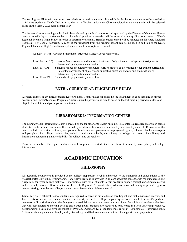The two highest GPAs will determine class valedictorian and salutatorian. To qualify for this honor, a student must be enrolled as a full-time student at Keefe Tech prior to the start of his/her junior year. Class valedictorian and salutatorian will be selected based on the Term 2 GPA during senior year.

Credits earned at another high school will be evaluated by a school counselor and approved by the Director of Guidance. Grades received outside by a transfer student at the school previously attended will be adjusted to the quality point system of Keefe Regional Technical High School in order to determine class rank. Transfer credits earned will be reflected on the Keefe Regional Technical High school transcript. A copy of the transcript from the sending school can be included in addition to the Keefe Regional Technical High School transcript when official transcripts are required.

AP Level (+1.0) Advanced Placement - Rigorous College-Level coursework.

.

|                 | Level $I - H$ (+0.5) Honors - More extensive and intensive treatment of subject matter. Independent assignments |
|-----------------|-----------------------------------------------------------------------------------------------------------------|
|                 | determined by department curriculum.                                                                            |
| Level II – CP1  | Standard college preparatory curriculum. Written projects as determined by department curriculum.               |
|                 | Percentage of variety of objective and subjective questions on tests and examinations as                        |
|                 | determined by department curriculum.                                                                            |
| Level III – CP2 | Standard college preparatory curriculum                                                                         |
|                 |                                                                                                                 |

### **EXTRA CURRICULAR ELIGIBILITY RULES**

A student cannot, at any time, represent Keefe Regional Technical School unless he/she is a student in good standing in his/her academic and Career/Technical Programs. Students must be passing nine credits based on the last marking period in order to be eligible for athletics and participation in activities.

### **LIBRARY/MEDIA INFORMATION CENTER**

The Library/Media Information Center is located on the top floor of the Main building. The center is a resource area which serves students, teachers, and counselors. It is staffed by a full-time librarian six hours a day and five days a week. Resources in the center include: interest inventories, occupational briefs, updated government employment figures, reference books, catalogues and pamphlets for colleges, universities, technical and trade schools, the military, a college and career video library and information concerning athletic eligibility for colleges and universities.

There are a number of computer stations as well as printers for student use in relation to research, career plans, and college information.

## **ACADEMIC EDUCATION**

### **PHILOSOPHY**

All academic coursework is provided at the college preparatory level in adherence to the standards and expectations of the Massachusetts Curriculum Frameworks. Honors level learning is provided in all core academic content areas for students seeking a rigorous, four-year college pathway. Opportunities exist for all students to gain academic support through enrichment electives and extra-help sessions. It is the intent of the Keefe Regional Technical School administration and faculty to provide rigorous course offerings in order to challenge students to achieve to their highest potential.

Keefe Regional Technical School students are required to enroll in six credits of core English and mathematics coursework and five credits of science and social studies coursework, all at the college preparatory or honors level. A student's guidance counselor will work throughout the four years to establish and revise a career plan that identifies additional academic electives that will best guarantee meeting college and career goals. Students are required to participate in a four-year comprehensive, developmental health and physical education Program. Additionally, all students must enroll in Technological, Entrepreneurship & Business Management and Employability Knowledge and Skills coursework that directly support career preparation.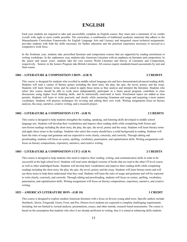## **ENGLISH**

Each year students are required to take and successfully complete an English course; they must earn a minimum of six credits overall with eight or more credits possible. The curriculum, a combination of traditional academic materials that adhere to the Massachusetts Curriculum Frameworks for English Language Arts and Literacy and integrated career technical assignments, provides students with both the skills necessary for further education and the practical experience necessary to succeed in a competitive work force.

In the freshman year, students take prescribed literature and composition courses that are supported by reading enrichment or writing workshops. In the sophomore year, students take American Literature with an emphasis on literature and composition. In the junior and senior years, students take the core courses World Literature and Survey of Literature and Composition, respectively. Seniors in the honors Program take British Literature. All courses require standards-based assessments by unit and final exams.

### **1001 – LITERATURE & COMPOSITION I HON - (GR 9) 2 CREDITS**

This course is designed for students who excelled in middle school language arts and have demonstrated advanced reading skills. Students will read a variety of literary genres including the short story, the play, the epic, the novel, poetry, and the essay. Students will learn literary terms and be asked to apply those terms as they analyze and interpret the literature. Students who select this course should be able to work more independently, participate in a faster paced program, contribute to class discussions using higher level thinking skills, and be intrinsically motivated to learn. Enrichment topics are added as time permits. Students will learn to write precisely and clearly while mastering Grammar and usage and acquiring a more mature vocabulary. Students will practice techniques for revising and editing their own work. Writing assignments focus on literary analysis, the essay, narrative, creative writing, and a research project.

### **1002 – LITERATURE & COMPOSITION I CP1 - (GR 9) 2 CREDITS**

This course is designed to help students strengthen the reading, speaking, and listening skills developed in middle school language arts. Students will develop their vocabularies and improve their reading skills while completing both fiction and non-fiction readings including the short story, the play, the epic, the novel, poetry and the essay. Students will learn literary terms and apply these terms to the readings. Students who select this course should have a solid background in reading. Students will learn the rules of usage and grammar and are expected to write clearly, concisely, and correctly. Through editing and proofreading, students will focus on syntax, spelling, vocabulary, punctuation, and capitalization skills. Writing assignments will focus on literary compositions, expository, narrative, and creative writing.

### **1003 – LITERATURE & COMPOSITION I CP 2- (GR 9) 2 CREDITS**

This course is designed to help students who need to improve their reading, writing, and communication skills in order to be successful at the high school level. Students will read some abridged versions of books that are read in the other CP level course as well as other unabridged books. Students will develop their vocabularies and improve their reading skills while completing readings including the short story, the play, the epic, the novel, poetry, and the essay. Students will learn literary terms and will use these terms to help them understand what they read. Students will learn the rules of usage and grammar and will be expected to write clearly, concisely, and correctly. Through editing and proofreading, students will focus on syntax, spelling, vocabulary, punctuation, and capitalization skills. Writing assignments will focus on literary compositions, expository, narrative, and creative writing.

### **1021 – AMERICAN LITERATURE HON - (GR 10) 1 CREDIT**

This course is designed to explore modern American literature with a focus on diverse young adult texts. Specific authors include Steinbeck, Alexie, Fitzgerald, Green, Frost, and Poe. Honors level students are expected to complete challenging requirements including, but not limited to, textual analysis, presentations, essays, and other outside, research based assessments. The course is based on the assumption that students who elect it are already proficient in writing, thus it is aimed at enhancing skills students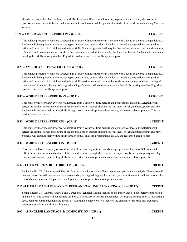already possess, rather than teaching basic skills. Students will be required to write, to peer edit, and to study the works of professional writers – both fiction and non-fiction. Consideration will be given to the study of the works of outstanding American writers.

### **1022 – AMERICAN LITERATURE CP1 - (GR 10) 1 CREDIT**

This college preparatory course is structured as a survey of modern American literature with a focus on diverse young adult texts. Students will be required to write various types of essays and compositions, including extended essay questions, designed to refine and improve critical thinking and writing skills. Some assignments will require that students demonstrate an understanding of societal and literary concepts specific to the contemporary period, for example, the American Dream. Students will continue to develop their skills in using standard English to produce concise and well-organized prose.

### **1023 – AMERICAN LITERATURE CP2 - (GR 10) 1 CREDIT**

This college preparatory course is structured as a survey of modern American literature with a focus on diverse young adult texts. Students will be required to write various types of essays and compositions, including extended essay questions, designed to refine and improve critical thinking and writing skills. Assignments will require that students demonstrate an understanding of thematic and structural elements of assigned readings. Students will continue to develop their skills in using standard English to produce concise and well-organized prose.

### **1041 – WORLD LITERATURE HON - (GR 11) 1 CREDIT**

This course will offer a survey of world literature from a variety of time periods and geographical locations. Selections will reflect the seminal values and culture of the era and location through short stories, passages, novels, memoirs, poetry and plays. Students will enhance their writing skills through textual analysis, presentations, essays, and research-based projects. This is a reading intensive course.

### **1042 – WORLD LITERATURE CP1 - (GR 11) 1 CREDIT**

This course will offer a survey of world literature from a variety of time periods and geographical locations. Selections will reflect the seminal values and culture of the era and location through short stories, passages, novels, memoirs, poetry and plays. Students will enhance their writing skills through textual analysis, presentations, essays, and research-based projects.

### **1043 – WORLD LITERATURE CP2 - (GR 11) 1 CREDIT**

This course will offer a survey of world literature from a variety of time periods and geographical locations. Selections will reflect the seminal values and culture of the era and location through short stories, passages, novels, memoirs, poetry and plays. Students will enhance their writing skills through textual analysis, presentations, essays, and research-based projects.

### **1202 –LITERATURE & RHETORIC CP1 - (GR 12) 1 CREDIT**

Senior English CP1 Literature and Rhetoric focuses on the importance of both literary composition and analysis. The course will concentrate on the skills necessary for post-secondary writing, editing and literary analysis. Additional units will incorporate the use of databases, research topics, the development of senior projects and oral presentations.

### **1212 –LITERARY ANALYSIS AND CAREER AND TECHNICAL WRITING CP1 - (GR 12) 1 CREDIT**

Senior English CP1 Literary Analysis and Career and Technical Writing focuses on the importance of both literary composition and analysis. The course will concentrate on the skills necessary for career and technical writing and editing, such as instructional texts, business communications and proposals. Additional coursework will focus on the elements of research and argument, senior presentations and film and literature.

### **1100 –AP ENGLISH LANGUAGE & COMPOSITION - (GR 11) 1 CREDIT**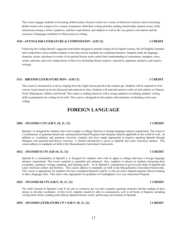This course engages students in becoming skilled readers of prose written in a variety of rhetorical contexts, and in becoming skilled writers who compose for a variety of purposes. Both their writing and their reading should make students aware of the interactions among a writer's purposes, audience expectations, and subjects as well as the way generic conventions and the resources of language contribute to effectiveness in writing.

### **1110 –AP ENGLISH LITERATURE & COMPOSITION - (GR 12) 1 CREDIT**

Following the College Board's suggested curriculum designed to parallel college-level English courses, the AP English Literature and Composition course enables students to develop critical standards for evaluating literature. Students study the language, character, action, and theme in works of recognized literary merit; enrich their understanding of connotation, metaphor, irony, syntax, and tone; and write compositions of their own (including literary analysis, exposition, argument, narrative, and creative writing).

### **1111 – BRITISH LITERATURE HON - (GR 12) 1 CREDIT**

This course is structured as a survey ranging from the Anglo-Saxon period to the modern age. Students will be required to write various essays based on novels discussed and analyzed in class. Students will read and analyze works of such authors as Chaucer, Swift, Shakespeare, Milton, and Orwell. This course is reading-intensive with a strong emphasis on refining students' writing skills in preparation for college-level work. This course is designed for the student with intentions of attending a four-year college.

## **FOREIGN LANGUAGE**

### **1802 – SPANISH I CP1 (GR 9, 10, 11, 12) 1 CREDIT**

Spanish I is designed for students who wish to apply to colleges that have a foreign language entrance requirement. The course is a combination of grammar-based and communication-based Programs that integrate material applicable to the world of work. In addition to vocabulary and grammar exercises, students also have ample opportunity to practice speaking Spanish through dialogues and question-and-answer exercises. A limited introduction is given to Spanish and Latin American cultures. This course adheres to standards set forth in the Massachusetts Curriculum Frameworks.

### **1812 – SPANISH II CP1 (GR 10, 11, 12) 1 CREDIT**

Spanish II, a continuation of Spanish I, is designed for students who wish to apply to colleges that have a foreign language entrance requirement. The review material is expanded and enhanced. Also, emphasis is placed on students increasing their vocabulary, grammar, writing, speaking, and listening skills. As in Spanish I, consideration is given to the study of Spanish and Latin American culture and histories. This course adheres to standards set forth in the Massachusetts Curriculum Frameworks. This course is appropriate for students who have completed Spanish I and II, or who are native Spanish speakers that are looking to take a language class. This class is also appropriate for graduates of Framingham's two-way immersion Program.

### **1822 – SPANISH III CP1 (GR 9, 10, 11, 12) 1 CREDIT**

The skills learned in Spanish I and II are put to extensive use via more complex grammar structure and the reading of short stories to develop vocabulary. At this level, students should be able to communicate well in all forms of Spanish, including writing short stories, reading some famous Spanish literary works, and having conversations in Spanish.

### **1852 – SPANISH LITERATURE CP 1 (GR 9, 10, 11, 12) 1 CREDIT**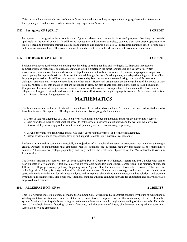This course is for students who are proficient in Spanish and who are looking to expand their language base with literature and literary analysis. Students will read and write literary responses in Spanish.

### **1702 – Portuguese CP 1 (GR 10) 1 CREDIT**

Portuguese I is designed to be a combination of grammar-based and communication-based programs that integrate material applicable to the world of work. In addition to vocabulary and grammar exercises, students also have ample opportunity to practice speaking Portuguese through dialogues and question-and-answer exercises. A limited introduction is given to Portuguese and Latin American cultures. This course adheres to standards set forth in the Massachusetts Curriculum Frameworks.

### **1712 – Portuguese II CP 1 (GR 11) 1 CREDIT**

Students continue to further develop and improve listening, speaking, reading and writing skills. Emphasis is placed on comprehension of Portuguese, as well as reading and writing practice in the target language using a variety of activities incorporating familiar vocabulary and structures. Supplementary materials are introduced to enhance language use. Aspects of contemporary Portuguese/Brazilian culture are introduced through the use of media, games, and adapted readings and in small or large group discussions. In addition to written/oral tests and quizzes, students are assessed using a variety of formats: oral dialogues, presentations, written compositions and other means. Homework assignments are an integral part of this course as they not only reinforce concepts and skills that are introduced in class, but also enable students to participate in class discussions. Completion of homework assignments is essential to success in this course. It is imperative that students in this level exhibit diligence with regard to attitude and work ethic. Continuous effort to use the target language is essential. Active participation is a must! Grade 11 Foreign Language elective.

## **MATHEMATICS**

The Mathematics curriculum is structured to best address the broad needs of students. All courses are designed for students who learn best in an applied approach. The department advances five major goals for students:

- 1. Learn to value mathematics as a tool to explore relationships between mathematics and the many disciplines it serves.
- 2. Gain confidence in using mathematical power to make sense of new problem situations and the world in which we live.
- 3. Develop ability in solving problem situations independently and in a cooperative group setting.
- 4. Given opportunities to read, write and discuss ideas, use the signs, symbols, and terms of mathematics.
- 5. Gather evidence, make conjectures, develop and support rationale using mathematical reasoning.

Students are required to complete successfully the objectives of six credits of mathematics coursework but may elect up to eight credits. Aspects of mathematics that emphasize real-life situations are integrated regularly throughout all the mathematics courses. All courses are college preparatory and fully address the goals and objectives of the Massachusetts Curriculum Frameworks.

The Honors mathematics pathway moves from Algebra Two to Geometry to Advanced Algebra and Pre-Calculus with senior year expectation of Calculus. Additional electives are available dependent upon student career plans. The majority of students follows a college preparatory pathway beginning with Algebra One but may elect Honors-level courses. The need for technological proficiency is recognized at all levels and in all courses. Students are encouraged and trained to use calculators to speed arithmetic calculations, for advanced analysis, and to explore relationships and concepts, visualize solutions, and promote hypothetical modeling of real-life situations. Additional methods utilizing computer software for exploration and analysis are also employed in all courses.

### **2001 – ALGEBRA I HON (GR 9) 2 CREDITS**

This is a rigorous course in algebra, aligned to the Common Core, which introduces abstract concepts by the use of symbolism in which quantitative relationships can be stated in general terms. Emphasis is on the relationship of the real number system. Manipulation of symbols according to mathematical laws requires a thorough understanding of fundamentals. Particular areas of emphasis include factoring, powers, functions, and the solution of linear, simultaneous, and quadratic equations. Applications will be emphasized.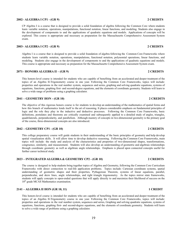### **2002– ALGEBRA I CP1 - (GR 9) 2 CREDITS**

CP Algebra I is a course that is designed to provide a solid foundation of algebra following the Common Core where students learn variable notation, operations, manipulations, functional notation, linear functions, and modeling. Students also engage in the development of components to and the applications of quadratic equations and models. Applications of concepts will be explored. This course is appropriate and necessary as preparation for the Massachusetts Comprehensive Assessment System exam.

### **2003– ALGEBRA I CP2 - (GR 9) 2 CREDITS**

Algebra I is a course that is designed to provide a solid foundation of algebra following the Common Core Frameworks where students learn variable notation, operations, manipulations, functional notation, polynomial operations, linear functions, and modeling. Students also engage in the development of components to and the applications of quadratic equations and models. This course is appropriate and necessary as preparation for the Massachusetts Comprehensive Assessment System exam.

### **2071– HONORS ALGEBRA II – (GR 9) 2 CREDITS**

This honors-level course is intended for students who are capable of benefiting from an accelerated and deeper treatment of the topics of an Algebra II-Trigonometry course in one year. Following the Common Core Frameworks, topics will include: properties and operations in the real number system, sequences and series, graphing and solving quadratic equations, systems of equations, functions, graphing first- and second-degree equations, and the elements of coordinate geometry. Students will learn to solve a wide range of problems using a graphing calculator.

### **2041 – GEOMETRY HON - (GR 10) 2 CREDITS**

The objective of this rigorous honors course is for students to develop an understanding of the mathematics of spatial forms and how this branch of mathematics lends itself to the art of reasoning. It places considerable emphasis on fundamental principles of logic and the role they play in the inductive and deductive processes. Following the Common Core Frameworks, basic definitions, postulates and theorems are critically examined and subsequently applied to a detailed study of angles, triangles, quadrilaterals, perpendicularity, and parallelism. Although mastery of concepts in two-dimensional geometry is the primary goal of the course, three-dimensional concepts are also introduced.

### **2042 – GEOMETRY CP1 - (GR 10) 2 CREDITS**

This college preparatory course will guide students in their understanding of the basic principles of geometry and help develop spatial visualization skills. It will allow time to develop deductive reasoning. Following the Common Core Frameworks, main topics will include: the study and analysis of the characteristics and properties of two-dimensional shapes, transformations, congruence, similarity, and measurement. Students will also develop an understanding of geometric and algebraic relationships through coordinate geometry as well as algebraic angle relationships. Emphasis is placed upon connected concepts useful for further career technical study.

### **2023 – INTEGRATED ALGEBRA & GEOMETRY CP2 - (GR 10) 2 CREDITS**

The course is designed to help students bring together topics of Algebra and Geometry, following the Common Core Curriculum Frameworks with direct connection to real-life application problems. Topics include: Cartesian coordinate systems, spatial understanding of geometric shapes and their properties, Pythagorean Theorem, systems of linear equations, parallel, perpendicular, and skew lines, angle relationships, and right triangle trigonometry. As the topics mirror state frameworks, students will apply concepts to open-ended questions that will apply directly to and maximize their likelihood of success on the  $10<sup>th</sup>$  grade MCAS Mathematics examination.

### **2141 – ALGEBRA II HON (GR 10, 11) 1 CREDIT**

This honors-level course is intended for students who are capable of benefiting from an accelerated and deeper treatment of the topics of an Algebra II-Trigonometry course in one year. Following the Common Core Frameworks, topics will include: properties and operations in the real number system, sequences and series, Graphing and solving quadratic equations, systems of equations, functions, graphing first- and second-degree equations, and the elements of coordinate geometry. Students will learn to solve a wide range of problems using a graphing calculator.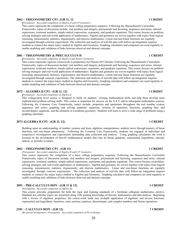### **2062 – TRIGONOMETRY CP1- (GR 11, 12 1 CREDIT**

*(Prerequisite: Successful completion of Algebra II and CP Geometry)*

This course represents the completion of a basic college preparatory sequence. Following the Massachusetts Curriculum Frameworks, topics of discussion include: real numbers and integers, polynomials and factoring, sequences and series, rational expressions, irrational numbers, simple radical expressions, exponents, and quadratic equations. This course focuses on problemsolving strategies and real-world application of mathematics. Algebra and geometry are woven together with topics from logical reasoning, measurement, statistics, trigonometry, and discrete mathematics. Linear and non-linear functions are regularly investigated through concrete experiments. The collection and analysis of real-life data with follow-up integration requires students to connect the major topics studied in Algebra and Geometry. Graphing calculators and computers are used regularly to enable modeling and validation of links between observed and abstract concepts.

### **2081 – TRIGONOMETRY & PRECALCULUS H 1 CREDIT**

*(Prerequisite: Successful completion of Algebra I and Honors Geometry)*

This course represents rigorous coursework in preparation for Honors/AP Calculus. Following the Massachusetts Curriculum Frameworks, topics of discussion include: real numbers and integers, polynomials and factoring, sequences and series, rational expressions, irrational numbers, simple radical expressions, exponents, and quadratic equations. This course focuses on problemsolving strategies and real-world application of mathematics. Algebra and geometry are woven together with topics from logical reasoning, measurement, statistics, trigonometry, and discrete mathematics. Linear and non-linear functions are regularly investigated through concrete experiments. The collection and analysis of real-life data with follow-up integration requires students to connect the major topics studied in Algebra and Geometry. Graphing calculators and computers are used regularly to enable modeling and validation of links between observed and abstract concepts.

### **2072 – ALGEBRA II CP1 - (GR 11, 12) 1 CREDIT**

*(Prerequisite: Successful completion of Algebra I)*

This college-prep level course is designed to build on students' existing mathematical skills and help them develop more sophisticated problem-solving skills. This course is important for success on the S.A.T. and in subsequent mathematics courses. Following the Common Core Frameworks, topics include: properties and operations throughout the real number system, sequences and series, graphing and solving quadratic equations, systems of equations, functions, graphing first- and second-degree equations, and the elements of coordinate geometry. Students will learn to solve a wide range of problems using a graphing calculator.

### **2073 ALGEBRA II CP2 - (GR 11, 12) 1 CREDIT**

Building upon an understanding of number systems and basic algebraic manipulations, students move through mastery of linear functions and non-linear phenomena. Following the Common Core Frameworks, students are engaged in individual and cooperative investigations and experiments demanding data collection and analysis. Using graphing calculators, the work is focused on the development of best-fit mathematical models that may be linear, quadratic, exponential, logarithmic, rational, radical, or periodic in nature.

### **2062 – TRIGONOMETRY CP1 - (GR 12) 1 CREDIT**

(*Prerequisite: Successful completion of Algebra II and C.P. Geometry)*

This course represents the completion of a basic college preparatory sequence. Following the Massachusetts Curriculum Frameworks, topics of discussion include: real numbers and integers, polynomials and factoring, sequences and series, rational expressions, irrational numbers, simple radical expressions, exponents, and quadratic equations. This course focuses on problemsolving strategies and real-world application of mathematics. Algebra and geometry are woven together with topics from logical reasoning, measurement, statistics, trigonometry, and discrete mathematics. Linear and non-linear functions are regularly investigated through concrete experiments. The collection and analysis of real-life data with follow-up integration requires students to connect the major topics studied in Algebra and Geometry. Graphing calculators and computers are used regularly to enable modeling and validation of links between observed and abstract concepts.

### **2091 – PRE-CALCULUS HON - (GR 11 & 12) 1 CREDIT**

*(Prerequisite: Successful completion of Algebra II)*

This course provides preparation for both the rigor and learning standards of a freshman collegiate mathematics elective. Standard pre-calculus topics are presented along with gaining knowledge of discrete mathematics and data analysis. Beginning with a review of algebraic properties, the course-work leads into in-depth application of algebraic and inverse functions, exponential and logarithmic functions, conic sections, matrices, determinants, and complex numbers and Vectus operations

### **2101 – CALCULUS HON - (GR 12) 1 CREDIT**

*(By special arrangement - Prerequisite: Successful completion of Pre-Calculus)*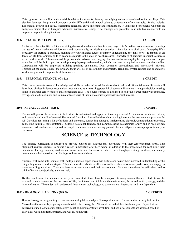This rigorous course will provide a solid foundation for students planning on studying mathematics-related topics in college. This elective develops the principal concepts of the differential and integral calculus of functions of one variable. Topics include: Exponential growth and decay, logarithmic functions, curve sketching and optimization. It is intended for students who plan on collegiate majors that will require advanced mathematical study. The concepts are presented in an intuitive manner with an emphasis on practical applications.

### **2122 – STATISTICS I CP1 - (GR 12) 1 CREDIT**

Statistics is the scientific tool for describing the world in which we live. In many ways, it is formalized common sense, requiring the use of many mathematical formulas and, occasionally, an algebraic equation. Statistics is a vital part of everyday life necessary for starting a business, planning for your financial future, or simply understanding the daily news. It appears in all facets of life from opinion polls to economic reports to the latest in health research. Knowledge of statistics is crucial to success in the modern world. The course will begin with a broad overview, hinging ideas on hands-on everyday life applications. Simple examples will be built upon to develop a step-by-step understanding, which can then be applied to more complex studies. Computations will be employed utilizing graphing calculators, IPad, computer spreadsheets, and specialized software. Throughout the entire course, the primary focus will be on case studies and projects. Readings, written reports, and cooperative work are significant components of this elective.

### **2151 – PERSONAL FINANCE (Gr 12) 1 CREDIT**

This course presents essential knowledge and skills to make informed decisions about real world financial issues. Students will learn how choices influence occupational options and future earning potential. Students will also learn to apply decision-making skills to evaluate career choices and set personal goals. The course content is designed to help the learner make wise spending, saving, and credit decisions and to make effective use of income to achieve personal financial success.

### **2100 – AP CALCULUS AB – (GR 12) 1 CREDIT**

The overall goal of this course is to help students understand and apply the three big ideas of AB Calculus: limits, derivatives, and integrals and the Fundamental Theorem of Calculus. Embedded throughout the big ideas are the mathematical practices for AP Calculus: reasoning with definitions and theorems, connecting concepts, implementing algebraic/computational processes, connecting multiple representations, building notational fluency, and communicating mathematics orally and in well-written sentences. All students are required to complete summer work reviewing pre-calculus and Algebra 2 concepts prior to entry in the course.

## **SCIENCE & TECHNOLOGY**

The Science curriculum is designed to provide courses for students that coordinate with their career/technical areas. This alignment enables students to pursue a career immediately after high school in addition to the preparation for continuing their education. Through science, students can make informed decisions, are able to ask though-provoking questions, and clearly communicate their questions and findings to those around them.

Students will come into contact with multiple science experiences that nurture and foster their increased understanding of the things they observe and investigate. They advance their ability to offer reasonable explanations, make predictions, and engage in more rewarding activities. They also learn to respect nature and their environment. Science strengthens the skills they need to think effectively, objectively, and creatively.

By the conclusion of a student's senior year, each student will have been exposed to many science themes. Students will be exposed to such themes as: the processes of life; the interaction of life and the environment, forces and motion; energy; and the nature of matter. The student will understand that science, technology, and society are all interwoven and interdependent.

### **3001 - BIOLOGY I LAB HON - (GR 9) 2 CREDITS**

Honors Biology is designed to give students an in-depth knowledge of biological science. The curriculum strictly follows the Massachusetts standards preparing students to take the Biology MCAS test at the end of their freshman year. Topics that are covered include biochemistry, cell biology, genetics, human anatomy, evolution, and ecology. Students are assessed based on daily class work, unit tests, projects, and weekly homework.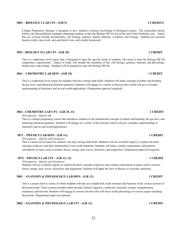### **3002 – BIOLOGY I LAB CP1 - (GR 9) 2 CREDITS**

College Preparatory Biology is designed to give students a primary knowledge of biological science. The curriculum strictly follows the Massachusetts standards, preparing students to take the Biology MCAS test at the end of their freshman year. Topics that are covered include biochemistry, cell biology, genetics, human anatomy, evolution, and ecology. Students are assessed based on daily class work, unit and district tests, and weekly homework.

### **3052 - BIOLOGY II LAB CP1 - (GR 10) 1 CREDIT**

This is a sophomore level course that is designed to meet the specific needs of students who need to meet the Biology MCAS competency requirements. Topics of study will include the chemistry of life, cell biology, genetics, anatomy and physiology, biodiversity, and ecology. Students will be prepared to take the Biology MCAS.

### **3061 – CHEMISTRY LAB HON - (GR 10) 1 CREDIT**

This is a sophomore level course for students who have strong math skills. Students will study concepts of matter and bonding, the gas laws, and balancing chemical equations**.** Students will engage in a variety of lab activities which will give a broader understanding of chemistry and its real world applications. (Department approval required).

### **3062 - CHEMISTRY LAB CP1 - (GR 10, 11) 1 CREDIT**

*(Prerequisite: Algebra II)*

This is a college preparatory course that introduces students to the fundamental concepts of matter and bonding, the gas laws, and balancing chemical equations. Students will engage in a variety of lab activities which will give a broader understanding of chemistry and its real world applications.

### **3071 – PHYSICS LAB HON - (GR 11)***)* **1 CREDIT**

*(Prerequisite: Algebra and Geometry)*

This is a junior level course for students who have strong math skills. Students will use scientific inquiry to explore the basic concepts of physics and their relationship to real-world situations. Students will study, conduct experiments, and perform calculations in topics such as motion, forces, energy, heat waves, electricity, and magnetism. (Department approval required).

### **3072 – PHYSICS LAB CP1 – (GR 11, 12) 1 CREDIT**

*(Prerequisite: Algebra and Geometry)*

Students will use scientific inquiry to explore the basic concepts of physics and conduct experiments in topics such as motion, forces, energy, heat, waves, electricity, and magnetism. Students will apply the laws of physics to everyday situations.

### **3081 – ANATOMY & PHYSIOLOGY LAB HON - (GR 12) 1 CREDIT**

This is a senior elective course in which students will take an in-depth look at the structure and function of the various systems of the human body. These systems include cardiovascular, skeletal, digestive, endocrine, muscular, urinary, integumentary, respiratory and nervous. Students will engage in various activities that will focus on the physiology of various organs including dissections. (Department approval required)

### **3082 – ANATOMY & PHYSIOLOGY LAB CP1 - (GR 12) 1 CREDIT**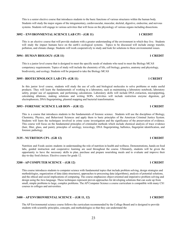This is a senior elective course that introduces students to the basic functions of various structures within the human body. Students will study the major organs of the integumentary, cardiovascular, muscular, skeletal, digestive, endocrine, and nervous systems. Students will engage in various activities that will focus on the physiology of various organs including dissections.

### **3092 – ENVIRONMENTAL SCIENCE LAB CP1 - (GR 11) 1 CREDIT**

This is an elective course that will provide students with a greater understanding of the environment in which they live. Students will study the impact humans have on the earth's ecological systems. Topics to be discussed will include energy transfer, pollution, and climate change. Students will work cooperatively to study and look for solutions to these environmental issues.

### **3094 - HUMAN BIOLOGY- (GR 11) 1 CREDIT**

This is a junior level course that is designed to meet the specific needs of students who need to meet the Biology MCAS competency requirements. Topics of study will include the chemistry of life, cell biology, genetics, anatomy and physiology, biodiversity, and ecology. Students will be prepared to take the Biology MCAS

### **3095 - BIOTECHNOLOGY LAB CP1- (GR 11) 1 CREDIT**

In this junior level course, students will study the use of cells and biological molecules to solve problems or make useful products. They will learn the fundamentals of working in a laboratory, such as maintaining a laboratory notebook, laboratory safety, proper use of equipment, and performing calculations. Laboratory skills will include DNA extraction, micropipetting, calculating dilutions, making solutions and writing SOPs. Activities will include restriction enzyme digestion, gel electrophoresis, DNA fingerprinting, plasmid mapping and bacterial transformation.

### **3093 - FORENSIC SCIENCE LAB HON – (GR 12) 1 CREDIT**

This is a course that introduces students to the fundamentals of forensic science. Students will use the disciplines of Biology, Chemistry, Physics, and Behavioral Sciences and apply them to basic principles of the American Criminal Justice System. Students will learn the techniques involved in crime scene investigation and the significance of the preservation of evidence. This course will focus on the fundamental principles of criminalist methods which include chemical analysis of trace evidence (hair, fiber, glass, and paint), principles of serology, toxicology, DNA fingerprinting, ballistics, fingerprint identification, and forensic pathology.

### **3135 - NUTRITION CP1– (GR 12) 1 CREDIT**

Nutrition and Foods assists students in understanding the role of nutrition in health and wellness. Demonstrations, hands-on food labs, guided instruction and cooperative learning are used throughout the course. Ultimately, students will be given the opportunity to have the necessary skills to plan, purchase and prepare nourishing meals and to evaluate and improve their day-to-day food choices. Elective course for grade 12.

### **3200 - AP COMPUTER SCIENCE – (GR 12) 1 CREDIT**

This course introduces students to computer science with fundamental topics that include problem solving, design strategies and methodologies, organization of data (data structures), approaches to processing data (algorithms), analysis of potential solutions, and the ethical and social implications of computing. The course emphasizes object-oriented and imperative problem solving and design using the Java language. These techniques represent proven approaches for developing solutions that can scale up from small, simple problems to large, complex problems. The AP Computer Science a course curriculum is compatible with many CS1 courses in colleges and universities.

### **3400 – AP ENVIRONMENTAL SCIENCE – (GR 11, 12) 1 CREDIT**

The AP Environmental science course follows the curriculum recommended by the College Board and is designed to provide students with scientific principles, concepts, and methodologies so that they can understand the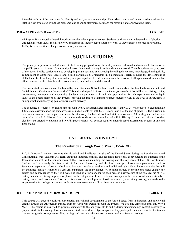interrelationships of the natural world, identify and analyze environmental problems (both natural and human made), evaluate the relative risks associated with these problems, and examine alternative solutions for resolving and/or preventing them.

### **3500 – AP PHYSICS B – (GR 12) 1 CREDIT**

AP Physics B is an algebra-based, introductory college-level physics course. Students cultivate their understanding of physics through classroom study, in-class activity, and hands-on, inquiry-based laboratory work as they explore concepts like systems, fields, force interactions, change, conservation, and waves.

## **SOCIAL STUDIES**

The primary purpose of social studies is to help young people develop the ability to make informed and reasonable decisions for the public good as citizens of a culturally diverse, democratic society in an interdependent world. Therefore, the underlying goal of the Social Studies curriculum is to develop important qualities of citizenship including disciplinary knowledge, thinking skills, commitment to democratic values, and citizen participation. Citizenship in a democratic society requires the development of skills for critical thinking, decision-making, and participation. In a democratic society, citizens of all ages make decisions that affect themselves, their families, their communities, their nations, and the world.

The social studies curriculum at the Keefe Regional Technical School is based on the standards set forth in the Massachusetts and Social Science Curriculum Framework (2018) and is designed to incorporate the major strands of Social Studies: history, civics, government, geography, and economics. Students are presented with multiple opportunities for rich experiences and in-depth study of the social sciences as they Progress through the grades. Making the subject matter relevant to the lives of our students is an important and underlying goal of instructional delivery

The sequence of courses for grades nine through twelve (Massachusetts Framework "Pathway 2") was chosen to accommodate future state assessment on the standards, skills, and concepts for both U.S. History I and II at the end of grade 10. The curriculum has been restructured to prepare our students effectively for both district and state assessments. All ninth-grade students are required to take U.S. History I, and all tenth-grade students are required to take U.S. History II. A variety of social studies electives are offered to eleventh and twelfth grade students. All courses require standards-based assessments by term or unit and final exams.

### **UNITED STATES HISTORY I**

### **The Revolution through World War I, 1754-1919**

In U.S. History I, students examine the historical and intellectual origins of the United States during the Revolutionary and Constitutional eras. Students will learn about the important political and economic factors that contributed to the outbreak of the Revolution as well as the consequences of the Revolution including the writing and the key ideas of the U.S. Constitution. Students will also study the framework of American democracy and the basic concepts of American government such as federalism, separation of powers, checks and balances, popular sovereignty, and individual rights. Other important topics that will be examined include: America's westward expansion, the establishment of political parties, economic and social change, the causes and consequences of the Civil War. The reading of primary source documents is a key feature of the two-year set of U.S. history standards. Strong emphasis is placed on the integration of new skills and concepts in the three social studies strands... history, civics, and economics. This course focuses on the development of skills in research, note taking, writing, and study skills as preparation for college. A common end-of-the-year assessment will be given to all students.

### **4001- US HISTORY I: 1754-1850 HON - (GR 9) 1 CREDIT**

### This course will trace the political, diplomatic, and cultural development of the United States from its historical and intellectual origins through the Antebellum Period, from the Civil War Period through the Progressive Era, and American entry into World War I. The course is designed to provide students with the analytical skills and enduring understandings content necessary to prepare students for college level coursework. Students work at a **rigorous** pace as they participate in a wide variety of activities that are designed to strengthen reading, writing, and research skills necessary to succeed at a four-year college.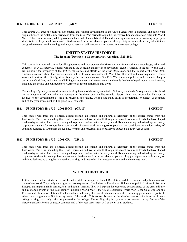### **4002 - US HISTORY I: 1754-1850 CP1- (GR 9) 1 CREDIT**

This course will trace the political, diplomatic, and cultural development of the United States from its historical and intellectual origins through the Antebellum Period and from the Civil War Period through the Progressive Era and American entry into World War I. The course is designed to provide students with the analytical skills and enduring understandings necessary to prepare students for college level coursework. Students work at an **accelerated** pace as they participate in a wide variety of activities designed to strengthen the reading, writing, and research skills necessary to succeed at a two-year college.

### **UNITED STATES HISTORY II The Roaring Twenties to Contemporary America, 1920-2001**

This course is a required course for all sophomores and incorporates the Massachusetts framework core knowledge, skills, and concepts. In U.S. History II, students will study the domestic and foreign policy issues faced by America in the post-World War I era including the prosperity of the 1920's, the causes and effects of the great Depression, and the impact of the New Deal. Students also learn about the various factors that led to America's entry into World War II as well as the consequences of those wars on American life. Finally, students study the causes and course of the Cold War, important political and economic changes during the Cold War, including the Civil Rights movement and recent events and trends that have shaped modern-day America, including the course and consequences of America's recent diplomatic initiatives.

The reading of primary source documents is a key feature of the two-year set of U.S. history standards. Strong emphasis is placed on the integration of new skills and concepts in the three social studies strands: history, civics, and economics. This course focuses on the development of skills in research, note taking, writing, and study skills as preparation for college. A common end-of-the-year assessment will be given to all students.

### **4021 – US HISTORY II: 1920 – 2001 HON – (GR 10) 1 CREDIT**

This course will trace the political, socioeconomic, diplomatic, and cultural development of the United States from the Post-World War I Era, including the Great Depression and World War II, through the recent events and trends that have shaped modern-day America. The course is designed to provide students with the analytical skills and enduring understandings necessary to prepare students for college level coursework. Students work at a **rigorous** pace as they participate in a wide variety of activities designed to strengthen the reading, writing, and research skills necessary to succeed at a four-year college.

### **4022 – US HISTORY II: 1920 – 2001 CP1 – (GR 10) 1 CREDIT**

This course will trace the political, socioeconomic, diplomatic, and cultural development of the United States from the Post-World War I Era, including the Great Depression and World War II, through the recent events and trends that have shaped modern-day America. The course is designed to provide students with the analytical skills and enduring understandings necessary to prepare students for college level coursework. Students work at an **accelerated** pace as they participate in a wide variety of activities designed to strengthen the reading, writing, and research skills necessary to succeed at the college level.

### **WORLD HISTORY II**

In this course, students study the rise of the nation state in Europe, the French Revolution, and the economic and political roots of the modern world. They study the origins and consequences of the Industrial Revolution, 19th century political reform in Western Europe, and imperialism in Africa, Asia, and South America. They will explain the causes and consequences of the great military and economic events of the past century, including World War I, the Great Depression, World War II, the Cold War, and the Russian and Chinese revolutions. Finally, students will study the rise of nationalism and the continuing persistence of political, ethnic, and religious conflict in many parts of the world. This course focuses on the development of skills in research, note taking, writing, and study skills as preparation for college. The reading of primary source documents is a key feature of the history standards for this course. A common end-of-the-year assessment will be given to all students.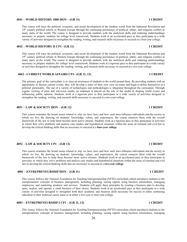### **4041 – WORLD HISTORY 1800 HON – (GR 11) 1 CREDIT**

This course will trace the political, economic, and social development of the modern world from the Industrial Revolution and  $19<sup>th</sup>$  century political reform in Western Europe through the continuing persistence of political, ethnic, and religious conflict in many parts of the world. The course is designed to provide students with the analytical skills and enduring understandings necessary to prepare students for college level coursework. Students work at an accelerated pace as they participate in a wide variety of activities designed to strengthen the reading, writing, and research skills necessary to succeed at a four-year college.

### **4042 – WORLD HISTORY II CP1– (GR 11) 1 CREDIT**

This course will trace the political, economic, and social development of the modern world from the Industrial Revolution and  $19<sup>th</sup>$  century political reform in Western Europe through the continuing persistence of political, ethnic, and religious conflict in many parts of the world. The course is designed to provide students with the analytical skills and enduring understandings necessary to prepare students for college level coursework. Students work at a rigorous pace as they participate in a wide variety of activities designed to strengthen the reading, writing, and research skills necessary to succeed at a two-year college.

### **4062 - CURRENT WORLD AFFAIRS CP1– (GR 11, 12) 1 CREDIT**

The primary goal of the curriculum is to raise an awareness of students to the world around them. By providing students with an opportunity to discuss current events, they will develop a sense of their own view on issues and begin to define themselves as a political personality. The use of a variety of technologies and methodologies is integrated throughout the curriculum. Through regular viewing of print and television media, an emphasis is placed on the role of the media in shaping world events and influencing public opinion. Students work at a rigorous pace as they participate in a wide variety of activities designed to strengthen the reading, writing, and research skills necessary to succeed at a two-year college

### **4051 – LAW & SOCIETY HON – (GR 12) 1 CREDIT**

This course examines the broad issues related to why we have laws and how such laws influence individuals and the society in which we live. By drawing on students' knowledge, values, and experiences, the course connects them with the overall framework of the law to help them become more active citizens. Students work at a rigorous pace as they participate in activities in which they solve problems and analyze case studies and hypothetical situations within the areas of criminal and civil law to develop the critical thinking skills that are necessary to succeed at a **four-year college**.

### **4052 – LAW & SOCIETY CP1 – (GR 12) 1 CREDIT**

This course examines the broad issues related to why we have laws and how such laws influence individuals and the society in which we live. By drawing on students' knowledge, values, and experiences, the course connects them with the overall framework of the law to help them become more active citizens. Students work at an accelerated pace as they participate in activities in which they solve problems and analyze case studies and hypothetical situations within the areas of criminal and civil law to develop the critical thinking skills that are necessary to succeed at a **two-year college**.

### **4081 – ENTREPRENEURSHIP HON – (GR 11) 1 CREDIT**

This course follows the National Foundation for Teaching Entrepreneurship (NFTE) curriculum which introduces students to the entrepreneurial concepts of business management, including planning, raising capital, using business information, managing employees, and marketing products and services. Students will apply these principles by creating a business plan to develop, open, market, and operate a small business of their choice. Students work at an accelerated pace as they participate in a wide variety of activities designed to strengthen both their academic and business skills necessary for success in either continuing education in their technical career areas or at either a two-year or four-year college.

### **4083 – ENTREPRENEURSHIP I CP1 – (GR 11, 12) 1 CREDIT**

This course follows the National Foundation for Teaching Entrepreneurship (NFTE) curriculum which introduces students to the entrepreneurial concepts of business management, including planning, raising capital, using business information, managing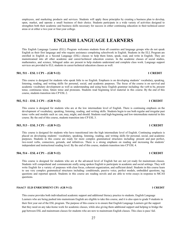employees, and marketing products and services. Students will apply these principles by creating a business plan to develop, open, market, and operate a small business of their choice. Students participate in a wide variety of activities designed to strengthen both their academic and business skills necessary for success in either continuing education in their technical career areas or at either a two-year or four-year college.

## **ENGLISH LANGUAGE LEARNERS**

This English Language Learner (ELL) Program welcomes students from all countries and language groups who do not speak English as their first language and who require assistance completing schoolwork in English. Students in the ELL Program are enrolled in English as a Second Language (ESL) classes to help them listen, speak, read, and write in English. They are mainstreamed into all other academic and career/technical education courses. In the academic classes of social studies, mathematics, and science, bilingual aides are present to help students understand and complete class work. Language support services are provided to ELL students in career/technical education classes as well.

### **501, 511 – ESL 1 CP1 – (GR 9-12) 1 CREDIT**

This course is designed for students who speak little to no English. Emphasis is on developing students' vocabulary, speaking, listening, reading, and writing skills for personal, social, and academic purposes. The focus of the course is on survival and academic vocabulary development as well as understanding and using basic English grammar including: the verb to be, present tense, continuous tense, future tense and pronouns. Students read beginning level material in this course. By the end of this course, students transition into CP ESL 2.

### **502, 512 – ESL 2 CP1 – (GR 9-12) 1 CREDIT**

This course is designed for students who are at the low intermediate level of English. There is continuing emphasis on the development of vocabulary, speaking, listening, reading, and writing skills. Students begin to use both regular and irregular past tense verbs and modals such as: can, may, might, and should. Students read high-beginning and low-intermediate material in this course. By the end of this course, students transition into CP ESL 3.

### **503, 513 – ESL 3 CP1 – (GR 9-12) 1 CREDIT**

This course is designed for students who have transitioned into the high intermediate level of English. Continuing emphasis is placed on developing students' vocabulary, speaking, listening, reading, and writing skills for personal, social, and academic purposes. Students in this course are ready for more complex grammatical structures including: present and past perfect, two-word verbs, connectors, gerunds, and infinitives. There is a strong emphasis on reading and increasing the students' independent and instructional reading level. By the end of this course, students transition into CP ESL 4.

### **504, 514 – ESL 4 CP1 – (GR 9-12) 1 CREDIT**

This course is designed for students who are at the advanced level of English but are not yet ready for mainstream classes. Students will comprehend and communicate orally using spoken English to participate in academic and social settings. They will write English for a variety of purposes with clear focus, coherent organization, and sufficient detail. Students in this course learn to use very complex grammatical structures including: conditionals, passive voice, perfect modals, embedded questions, tag questions and reported speech. Students in this course are reading novels and are able to write essays in response to MCAS questions.

### **516AC**P **ELD ENRICHMENT CP1**- **(GR 9-12) 1 CREDIT**

This course provides both individualized academic support and additional literacy practice to students. English Language Learners who are being pushed into mainstream English are eligible to take this course, and it is also open to grade 9 students in their first year out of the ESL program. The purpose of this course is to ensure that English Language Learners get the support that they need on any take-home work for academic classes, while also giving them additional support and helping to bridge the gap between ESL and mainstream classes for students who are new to mainstream English classes. This class is pass/ fail.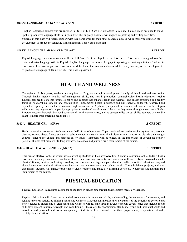### **520 ESL LANGUAGE LAB 1&2 CP1- (GR 9-12) 1 CREDIT**

English Language Learners who are enrolled in ESL 1 or ESL 2 are eligible to take this course. This course is designed to build up their productive language skills in English. English Language Learners will engage in speaking and writing activities. Students in this class will receive support with take home work for their other academic classes, while mainly focusing on the development of productive language skills in English. This class is pass/ fail.

### **521 ESL LANGUAGE LAB 3&4 CP1- (GR 9-12) 1 CREDIT**

English Language Learners who are enrolled in ESL 3 or ESL 4 are eligible to take this course. This course is designed to refine their productive language skills in English. English Language Learners will engage in speaking and writing activities. Students in this class will receive support with take home work for their other academic classes, while mainly focusing on the development of productive language skills in English. This class is pass/ fail.

## **HEALTH AND WELLNESS**

Throughout all four years, students are required to Progress through a developmental study of health and wellness topics. Through health literacy, healthy self-management skills, and health promotion, comprehensive health education teaches fundamental health concepts, promotes habits and conduct that enhance health and wellness, and guides efforts to build healthy families, relationships, schools, and communities. Fundamental health knowledge and skills need to be taught, reinforced and expanded regularly in a student's four-year high school career. A planned, sequential curriculum addresses a variety of topics with increasing degrees of complexity appropriate to students' developmental levels as they move through adolescence. Such a Program ensures thorough, balanced coverage of health content areas, and its success relies on our skilled teachers who readily adapt to incorporate emerging health topics.

### **3102A – HEALTH CP1 – (GR 9) .5 CREDIT**

Health, a required course for freshmen, meets half of the school year. Topics included are cardio respiratory function, vascular disease, tobacco abuse, fitness evaluation, substance abuse, sexually transmitted diseases, nutrition, eating disorders and weight control, violence prevention, and personal safety issues. Emphasis will be placed on the importance of developing positive personal choices that promote life-long wellness. Notebook and journals are a requirement of the course.

### **3142 – HEALTH & WELLNESS - (GR 12) 1 CREDIT**

This senior elective looks at critical issues affecting students in their everyday life. Candid discussions look at today's health risks and encourage students to evaluate choices and take responsibility for their own wellbeing. Topics covered include: physical fitness, nutrition and eating disorders, stress, suicide, marriage and parenthood, sexually transmitted infections, drug and alcohol awareness, cultural influence on behavior, and environmental and public health. Through debate, projects, and class discussions, students will analyze problems, evaluate choices, and make life-affirming decisions. Notebooks and journals are a requirement of the course.

## **PHYSICAL EDUCATION**

Physical Education is a required course for all students in grades nine through twelve unless medically excused.

Physical Education will focus on individual competence in movement skills, understanding the concepts of movement, and relating physical activity to lifelong health and wellness. Students can increase their awareness of the benefits of exercise and how it relates to fitness and overall health and wellness. Grades nine through twelve curricula covers topics that include: motor skill development, muscular strength and conditioning, fitness, agility, coordination, flexibility, group and individual sports and activities and personal and social competency. Students will be evaluated on their preparedness, cooperation, attitude, participation, and effort.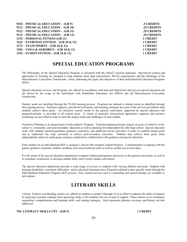| 9102 – PHYSICAL EDUCATION - (GR 9)       | .5 CREDITS  |
|------------------------------------------|-------------|
| 9112 - PHYSICAL EDUCATION - (GR 10)      | .25 CREDITS |
| 9122 – PHYSICAL EDUCATION - (GR 11)      | .25 CREDITS |
| 9132 – PHYSICAL EDUCATION - (GR 12)      | .25 CREDITS |
| 3152 – PERSONAL FITNESS (GR 11)          | 1 CREDIT    |
| $3162$ – EVERYDAY FITNESS – (GR 10 & 12) | 1 CREDIT    |
| $3172 - TEAM SPORTS - (GR 10 & 12)$      | 1 CREDIT    |
| 3182 – YOGA & AEROBICS – (GR 10 & 12)    | 1 CREDIT    |
| 3192 – FUSION FITNESS – (GR 10 & 12)     | 1 CREDIT    |
|                                          |             |

## **SPECIAL EDUCATION PROGRAMS**

The Philosophy of the Special Education Program is consistent with the school's mission statement. Specialized courses and approaches to learning are designed to help students meet high expectations, MCAS requirements, and the challenges of the Massachusetts Curriculum Frameworks, while addressing the goals and objectives of their Individualized Education Programs (IEPs).

Special education services and Programs are offered in accordance with state and federal laws that govern special education and are driven by the scope of the Individuals with Disabilities Education Act (IDEA) and the Massachusetts Curriculum Frameworks.

Student needs are identified through the TEAM meeting process. Programs are tailored to student needs as identified through this ongoing process. Inclusion supports, specialized instruction, and learning strategies are some of the services provided to help students achieve these goals. An inclusion consult model in the general curriculum, supported by special educators and paraprofessionals, is provided in all content areas. A variety of materials, instructional approaches, supports, and assistive technology are provided in order to meet the unique needs and challenges of each student.

Transition Planning is an integral part of each student's Program. Transition planning focuses largely on areas of school to work, school to community, and post-secondary education as well as planning for independent life after high school. Special educators work with students, parents/guardians, guidance counselors, and additional service providers in order to establish annual goals and to implement the steps necessary to achieve post-secondary outcomes. Students may achieve these goals either independently and/or in small group seminars conducted in collaboration with guidance and special education.

Each student on an individualized IEP is assigned a liaison that monitors student Progress. Communication is ongoing with the parent, guidance counselor, student, academic and career/technical staff, as well as outside service providers.

It is the intent of the special education department to support student participation and access to the general curriculum, as well as to remediate weaknesses, to increase student skills, and to foster student self-esteem.

The special education department provides a wide range of services to students with varying abilities and needs. Students with learning disabilities, emotional difficulties, and/or physical limitations have Programs tailored to their specific needs through the Individualized Education Program (IEP) process. Also, related services such as counseling and speech therapy are available to aid students.

## **LITERARY SKILLS**

Literary Analysis and Reading classes are offered to students in grades 9 through 12 in an effort to enhance the skills of students in analyzing essential readings from upcoming study or for students who are in need of support. These classes cover vocabulary acquisition, comprehension and listening skills, and reading strategies. Oral expression, phonics, accuracy, and fluency are also addressed.

### **704- LITERACY SKILLS CP2 – (GR 9) 1 CREDIT**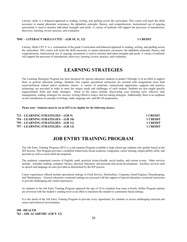Literacy skills is a balanced approach to reading, writing, and spelling across the curriculum. This course will teach the skills necessary to master phonemic awareness, the alphabetic principle, fluency, and comprehension. Instructional use of ongoing assessment is used to monitor individual strengths and needs. A variety of methods will support the processes of introduction, discovery, learning, review, practice, and evaluation.

### **704U – LITERACY SKILLS CP2U – (GR 10, 11, 12) 1 CREDIT**

Literacy Skills CP2 U is a continuation of the grade 9 curriculum and balanced approach to reading, writing, and spelling across the curriculum. This course will teach the skills necessary to master phonemic awareness, the alphabetic principle, fluency, and comprehension. Instructional use of ongoing assessment is used to monitor individual strengths and needs. A variety of methods will support the processes of introduction, discovery, learning, review, practice, and evaluation.

## **LEARNING STRATEGIES**

The Learning Strategies Program has been designed for special education students in grades 9 through 12 in an effort to support them in general education settings. Students who require specialized instruction are assisted with assignments from both career/technical related and/or academic classes. A variety of materials, instructional approaches, supports and assistive technology are provided in order to meet the unique needs and challenges of each student. Students are also taught specific organizational skills and study strategies. Some of the topics include: discovering your learning style, effective time management, reading strategies for success, writing effective essays, and test taking strategies. Additionally, there is an emphasis on the remediation of concepts in biology, math, language arts, and MCAS preparation.

**Please note: Students must be on an IEP to be eligible for the following classes:**

| 713 – LEARNING STRATEGIES – (GR 9)  | 1 CREDIT |
|-------------------------------------|----------|
| 754 – LEARNING STRATEGIES – (GR 10) | 1 CREDIT |
| 755 – LEARNING STRATEGIES – (GR 11) | 1 CREDIT |
| 757 – LEARNING STRATEGIES – (GR 12) | 1 CREDIT |

## **JOB ENTRY TRAINING PROGRAM**

The Job Entry Training Program (JET) is a sub-separate Program available to high school age students who qualify based on the IEP process. This Program provides a modified frameworks-based academic component, career training, employability skills, and personal as well as social skills development.

The academic component consists of English, math, practical science/health, social studies, and current events. Other services include: remedial reading, computer literacy, physical education, and personal and social development. Ancillary services such as speech and language are also provided as determined by the IEP process.

Career experiences offered include specialized settings in Food Service, Horticulture, Carpentry, Small Engines, Housekeeping, and Maintenance. General education vocational settings are accessed with the support of special education vocational instructors to provide challenging and varied experiences.

As students in the Job Entry Training Program approach the age of 18 or complete four years at Keefe, further Program options are reviewed with the student's sending town in an effort to transition the student to community-based settings.

It is the intent of the Job Entry Training Program to provide every opportunity for students to access challenging curricula and career and technical environments.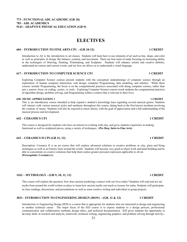## **ELECTIVES**

### **604 – INTRODUCTION TO FINE ARTS CP1 – (GR 10-12) 1 CREDIT**

Introduction to Art is the introduction to art classes. Students will learn how to use elements of art such as line, shape, and color as well as principles of design like balance, contrast, and movement. There are four units of study focusing on increasing ability in the techniques of Drawing, Painting, Printmaking, and Sculpture. Students will enhance artistic and creative abilities, understand art careers and current events, and see how art allows us to understand a visual language.

### **617 – INTRODUCTION TO COMPUTER SCIENCE CP1 1 CREDIT**

Exploring Computer Science courses present students with the conceptual underpinnings of computer science through an exploration of human computer interaction, web design, computer Programming, data modeling, and robotics. While these courses include Programming, the focus is on the computational practices associated with doing computer science, rather than just a narrow focus on coding, syntax, or tools. Exploring Computer Science courses teach students the computational practices of algorithm design, problem solving, and Programming within a context that is relevant to their lives.

### **630- MUSIC APPRECIATION 1 1 CREDIT**

This is an introductory course intended to help expand a student's knowledge base regarding several musical genres. Students will interact with various musical styles and mediums throughout this course, dating back to the first known incidents involving the creation of music. Students will also be exposed to music theory, with the goal of appreciation and a full understanding of the musical process and development.

### **642 – CERAMICS CP1 1 CREDIT**

This course is designed for students who have an interest in working with clay, and gives students experience in making functional as well as sculptural pieces, using a variety of techniques. **(Pre Req: Intro to Fine Arts)**

### **643 – CERAMICS II CPI (GR 11, 12) 1 CREDIT**

Description: Ceramics II is an art course that will explore advanced solutions to creative problems in clay, glaze and firing techniques as well as art history from around the world. Students will become very good at wheel work and hand building and be able to concentrate on creative solutions that help them realize greater personal expression applicable to all art. **(Prerequisite: Ceramics I.)**

### **1162 – MYTHOLOGY - (GR 9, 10, 11, 12) 1 CREDIT**

This course will explore the question: how does ancient mythology connect with our lives today? Students will read and act out myths from around the world written as plays to learn how ancient myths can teach us lessons for today. Students will participate in class readings, discussions, and presentations as well as some creative writing and individual or group projects.

### **3031 - INTRODUCTION TO ENGINEERING DESIGN (HON) – (GR. 11 & 12) 1 CREDIT**

Introduction to Engineering Design (IED) is a course that is appropriate for students who are interested in design and engineering or another technical career. The major focus of the IED course is to expose students to a design process, professional communication and collaboration methods, design ethics, and technical documentation. IED gives students the opportunity to develop skills in research and analysis, teamwork, technical writing, engineering graphics, and problem solving through activity-,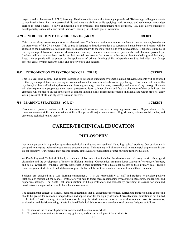project-, and problem-based (APPB) learning. Used in combination with a teaming approach, APPB-learning challenges students to continually hone their interpersonal skills and creative abilities while applying math, science, and technology knowledge learned in other courses to solve engineering design problems and communicate their solutions. IED also allows students to develop strategies to enable and direct their own learning--an ultimate goal of education.

### **4091 – INTRODUCTION TO PSYCHOLOGY H– (GR 12) 1 CREDIT**

This is a year-long course taught at an accelerated pace. The honors curriculum exposes students to deeper content, based upon the framework of the CP 1 course. This course is designed to introduce students to systematic human behavior. Students will be exposed to the psychological facts and principles associated with the major sub-fields within psychology. This course introduces the psychological basis of behavior, development, learning, memory, consciousness, personality, and abnormal psychology. Students will also explore how people use their mental processes to learn, solve problems, and face the challenges of their daily lives. An emphasis will be placed on the application of critical thinking skills, independent reading, individual and Group projects, essay writing, research skills, and objective tests and quizzes.

### **4092 – INTRODUCTION TO PSYCHOLOGY CP 1– (GR 12) 1 CREDIT**

This is a year-long course. The course is designed to introduce students to systematic human behavior. Students will be exposed to the psychological facts and principles associated with the major sub-fields within psychology. This course introduces the psychological basis of behavior, development, learning, memory, consciousness, personality, and abnormal psychology. Students will also explore how people use their mental processes to learn, solve problems, and face the challenges of their daily lives. An emphasis will be placed on the application of critical thinking skills, independent reading, individual and Group projects, essay writing, research skills, and objective tests and quizzes.

### **756 - LEARNING STRATEGIES – (GR 12) 1 CREDIT**

This elective provides students with direct instruction to maximize success in on-going course work. Organizational skills, time-management skills, and note taking skills will support all major content areas: English math, science, social studies, and career and technical related theory.

## **CAREER/TECHNICAL EDUCATION**

### **PHILOSOPHY**

Our main purpose is to provide up-to-date technical training and marketable skills to high school students. Our curriculum is designed to integrate technical programs and academic areas. This training will ultimately lead to meaningful employment in our global economy. Our students may become directly employed after Graduation or after pursuing further education.

At Keefe Regional Technical School, a student's global education includes the development of strong work habits, good citizenship and the development of interest in lifelong learning. Our technical programs foster student self-esteem, self-respect, and social awareness. Students actively participate in their education with educational success as their primary goal. During their four years, students will undertake school projects that will benefit our member communities and their residents.

Students are educated in a safe learning environment. It is the responsibility of staff and students to develop positive relationships throughout the school. Instructors will help to foster these relationships by teaching in structured, challenging, and supportive settings. The Keefe Tech administration will help instructors and students by providing an avenue for open and constructive dialogue within a well-disciplined environment.

The fundamental concept of Career/Technical Education is that all education experiences, curriculum, instruction, and counseling should be geared for economic independence and appreciation for the dignity of work. Career/technical education is not limited to the task of skill training; it also focuses on helping the student master several career development tasks for awareness, exploration, and decision making. Keefe Regional Technical School supports an educational process designed as follows:

- 1. To increase the relationship between society and the schools as a whole.
- 2. To provide opportunities for counseling, guidance, and career development for all students.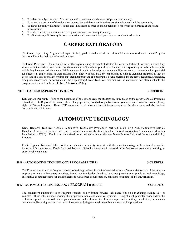- 3. To relate the subject matter of the curricula of schools to meet the needs of persons and society.<br>4. To extend the concept of the education process beyond the school into the area of employment z
- 4. To extend the concept of the education process beyond the school into the area of employment and the community.
- 5. To foster flexibility in attitudes, skills, and knowledge in order to enable persons to cope with accelerating changes and obsolescence.
- 6. To make education more relevant to employment and functioning in society.
- 7. To eliminate any dichotomy between education and career/technical purposes and academic education.

## **CAREER EXPLORATORY**

The Career Exploratory Program is designed to help grade 9 students make an informed decision as to which technical Program best coincides with their aptitudes and interests.

**Technical Program –** Upon completion of the exploratory cycles, each student will choose the technical Program in which they were most interested and successful. For the remainder of the school year they will spend their exploratory periods in the shop for which they have earned placement. While they are in their technical program, they will be evaluated to determine their potential for successful employment in their chosen field. They will also have the opportunity to change technical programs if they so desire and if a seat is available within that technical program. If a program is oversubscribed, the student's academic, attendance, discipline records and performance in the Exploratory/Career Technical Program will be considered for placement into the program as indicated in the Keefe Tech Admissions Policy.

### **8001 – CAREER EXPLORATION (GR 9) 3 CREDITS**

**Exploratory Program -** Prior to the beginning of the school year, the students are introduced to the career technical Programs offered at Keefe Regional Technical School. They spend 15 periods during a two-week cycle in a career/technical area exploring eight of fifteen Programs. These CTE areas are based upon choices of interest expressed by the student and also include non-traditional CTE areas.

## **AUTOMOTIVE TECHNOLOGY**

Keefe Regional Technical School's Automotive Technology Program is certified in all eight ASE (Automotive Service Excellence) service areas and has received master status certification from the National Automotive Technicians Education Foundation (NATEF). Keefe is an authorized inspection station under the new Massachusetts Enhanced Emission and Safety Program.

Keefe Regional Technical School offers our students the ability to work with the latest technology in the automotive service industry. After graduation, Keefe Regional Technical School students are in demand in the MetroWest community working as entry-level technicians.

### **8011 - AUTOMOTIVE TECHNOLOGY PROGRAM I (GR 9) 3 CREDITS**

.

The Freshman Automotive Program consists of training students in the fundamental aspects of automotive service. It includes an emphasis on automotive safety practices, hazard communication, hand tool and equipment usage, precision tool knowledge, automotive component removal and replacement, work order documentation, confidence building, and teamwork skills.

### **8012 - AUTOMOTIVE TECHNOLOGY PROGRAM II (GR 10) 5 CREDITS**

The sophomore automotive shop Program consists of performing NATEF task-based jobs on our existing training fleet of vehicles. These jobs include servicing the suspension, brake and electrical systems. Using student generated work orders, the technicians practice their skill at component removal and replacement within a team production setting. In addition, the students become familiar with precision measuring instruments during engine disassembly and reassembly procedures.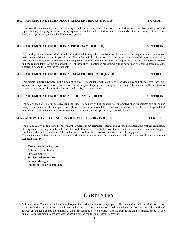### **6012 – AUTOMOTIVE TECHNOLOGY RELATED THEORY II (GR 10) 1 CREDIT**

This takes the students beyond basics starting with the more complicated functions. The students will learn how to diagnose and repair starters, charge systems, use testing equipment, such as battery testers, and repair standard transmissions, clutches, drive lines, cooling systems, and engine lubrication systems.

### **8013 – AUTOMOTIVE TECHNOLOGY PROGRAM III (GR 11) 5 CREDITS**

The third year automotive student will be instructed through live hands-on work, and learn to diagnose and repair major components of domestic and imported cars. The student will first be instructed in the proper procedure of diagnosing a problem; then, the exact procedure of removal of the component, the disassembly of the unit, the inspection of the unit, the complete repair and the re-installation of the component. All of these above-mentioned procedures will be performed on engines, transmissions, differentials, and the driveline components.

### **6013 – AUTOMOTIVE TECHNOLOGY RELATED THEORY III (GR 11) 1 CREDIT**

This course is more advanced in the automotive area. The students will learn how to service air conditioners, drive lines, fuel systems, fuel injections, exhaust emissions controls, engine diagnostics, and engine rebuilding. The students will learn how to use test equipment to check engine blocks, crankshafts, and valve trains

### **8014 – AUTOMOTIVE TECHNOLOGY PROGRAM IV (GR 12) 5 CREDITS**

The senior shop will be run as a live repair facility. The seniors will be reviewing all automotive shop procedures plus encounter heavy involvement in the computer controls of the modern automobile. They will be instructed in the use of special test equipment, to read the codes that are stored in each computer, and the proper way to repair them.

### **6014 - AUTOMOTIVE TECHNOLOGY RELATED THEORY IV (GR 12) 1 CREDIT**

The senior year will be devoted to teaching the students about electrical systems, engine tune ups, alternators, voltage regulators, starting circuits, wiring circuits and computer control systems. The student will learn how to diagnose and troubleshoot engine problems and how to repair them. The student will learn how the sensors operate and what role they play. The senior automotive student will review work ethics, customer relations, attendance, and how to succeed in the automotive technical industry.

**CAREER OPTIONS INCLUDE:** Automotive Technician Parts Specialist Service Writer/Advisor Service Manager Emission Repair Technician

## **CARPENTRY**

Mill and House Carpentry is a three-year Program that is divided into two major parts. The first and second year students receive basic instruction in the process of milling lumber into various components including cabinets and countertops. The third and fourth year students spend the majority of their time learning how to construct a house from foundation to finished product. The annual house-building project provides the setting for the "on the job" learning activities.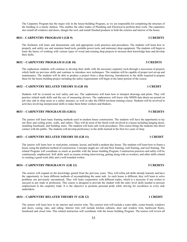the building in a timely fashion. This enables the other trades of Plumbing and Electrical to perform their work. The carpenters also install all windows and doors, shingle the roof, and install finished products to both the exterior and interior of the house.

The Carpentry Program has the major role in the house-building Program, as we are responsible for completing the structure of

### **8031 - CARPENTRY PROGRAM I (GR 9) 3 CREDITS**

The freshmen will learn and demonstrate safe and appropriate work practices and procedures. The students will learn how to properly and safely use and maintain hand tools, portable power tools, and stationary shop equipment. The students will begin to learn the basics of working with various types of wood and creating shop projects to increase their knowledge base and develop their skills.

### **8032 – CARPENTRY PROGRAM II (GR 10) 5 CREDITS**

The sophomore students will continue to develop their skills with the necessary carpentry tools through a succession of projects which build on previous skills and continue to introduce new techniques. The students will be capable of proper tool set-up and maintenance. The students will be able to produce a project from a shop drawing. Introduction to the skills required to prepare them for the house building project including the safety requirements will begin in the latter portion of the course.

### **6032 – CARPENTRY RELATED THEORY II (GR 10) 1 CREDIT**

Students will be re-tested on tool safety and use. The sophomores will learn how to interpret drawings and prints. They will practice related math skills and the use of measuring devices. The sophomores will know why MSDS data sheets are posted on job sites and in shop areas as a safety measure, as well as take the OSHA ten-hour training course. Students will be involved in activities involving interpersonal skills to make them better workers and thinkers.

### **8033 – CARPENTRY PROGRAM III (GR11) 5 CREDITS**

The juniors will learn basic framing methods used in modern house construction. The students will have the opportunity to lay out floor and ceiling joists, walls, and rafters. They will do most of the finish work involved in a house including hanging doors, installing baseboard, and building stairs. The students will learn safe work procedures. This course brings the students into direct contact with the public. The students will develop proficiency in the skills learned in the first two years of shop.

### **6033 – CARPENTRY RELATED THEORY III (GR 11) 1 CREDIT**

The juniors will learn how to read prints, estimate, layout, and build a modern-day house. The students will learn how to frame a house using the platform method of construction. Concepts taught are: sill and floor framing, wall framing, and roof framing. The related Program will coordinate as much as possible with the house building Program. Construction practices and safety will be continuously emphasized. Soft skills such as resume writing interviewing, getting along with co-workers, and other skills related to creating a good work ethic and a well-rounded worker.

### **8034 – CARPENTRY PROGRAM IV (GR 12) 5 CREDITS**

The seniors will expand on the knowledge gained from the previous years. They will refine job skills already learned, and have the opportunity to learn different methods of accomplishing the same task. As each house is different, they will learn to solve problems not previously encountered. They will learn cooperation with different trades, which is a necessity if one wishes to succeed in any trade or profession. This course is designed to provide the student with the entry level skills needed to procure employment in the carpentry trade. It is the objective to promote personal pride while striving for excellence in every task undertaken.

### **6034 – CARPENTRY RELATED THEORY IV (GR 12) 1 CREDIT**

The seniors will learn how to do interior and exterior trim. The exterior trim will include a water table, corner boards, windows and doors, casing, rake, and siding. Interior trim will include kitchen cabinets, door and window trim, hardwood floors, baseboard and closet trim. This related instruction will coordinate with the house building Program. The seniors will review all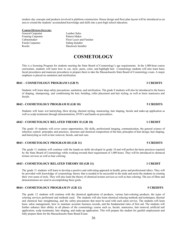modern day concepts and products involved in platform construction. House design and floor plan layout will be introduced as an area to extend the students' accumulated knowledge and skills into a post high school education.

**CAREER OPTIONS INCLUDE:** General Carpenter Lumber Sales Framing Carpenter Pattern Maker Finish Carpenter Siding Installer Roofer Sheetrock Installer

Cabinetmaker Floor Layer and Finisher

## **COSMETOLOGY**

This is a licensing Program for students meeting the State Board of Cosmetology's age requirements. In the 1,000-hour course curriculum, students will learn how to cut, style, perm, color, and highlight hair. Cosmetology students will also learn basic facial procedures and manicure procedures to prepare them to take the Massachusetts State Board of Cosmetology exam. A major emphasis is placed on sanitation and sterilization.

### **8041 – COSMETOLOGY PROGRAM I (GR 9) 3 CREDITS**

Students will learn shop safety precautions, sanitation, and sterilization. The grade 9 students will also be introduced to the basics of draping, shampooing, and conditioning the hair, braiding, roller placement and hair styling, as well as basic manicures and facials.

### **8042 - COSMETOLOGY PROGRAM II (GR 10) 5 CREDITS**

Students will learn wet hairstyling, blow drying, thermal styling, manicuring, hair shaping, facials and make-up application as well as scalp treatments through demonstrations, DVD's and hands-on procedures.

### **6042 - COSMETOLOGY RELATED THEORY II (GR 10) 1 CREDIT**

The grade 10 students will cover career opportunities, life skills, professional imaging, communication, the general science of infection control: principles and practices, structure and chemical composition of the hair, principles of hair design, hair shaping, and hairstyling as well as hair removal, facials, and nail care.

### **8043 - COSMETOLOGY PROGRAM III (GR 11) 5 CREDITS**

The grade 11 students will continue with the hands-on skills developed in grade 10 and will perfect the basic practices required by the State Board of Cosmetology while working towards their requirement of 1,000 hours. They will be introduced to chemical texture services as well as hair coloring.

### **6043 - COSMETOLOGY RELATED THEORY III (GR 11) 1 CREDIT**

The grade 11 students will learn to develop a positive and cultivating approach in health, poise and professional ethics. They will be provided with knowledge of cosmetology theory that is needed to be successful in the trade and assist the students in creating their own sense of style. They will also learn the theory of chemical texture services as well as hair coloring. The use of films and demonstrations are used in accomplishing these goals.

### **8044 - COSMETOLOGY PROGRAM IV (GR 12) 5 CREDITS**

The grade 12 students will continue with the chemical application of products, various hair-coloring products, the types of coloring services performed and methods used. The students will also learn chemical relaxing methods and techniques, thermal and chemical hair straightening, and the safety precautions that must be used with each salon service. The students will learn basic salon management, how to maintain accurate business records, and the fundamental rules of first aid. The students will further enhance their ability in all phases of the cosmetology course such as, facials, manicures, hair removal, artificial nail application, scalp treatments, hair shaping, and make-up application. This will prepare the student for gainful employment and fully prepare them for the Massachusetts State Board Exam.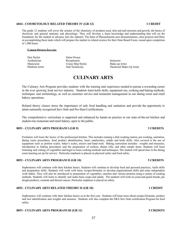### **6044 - COSMETOLOGY RELATED THEORY IV (GR 12) 1 CREDIT**

The grade 12 students will cover the science of the chemistry of products used, skin and nail structure and growth, the basics of electricity and general anatomy and physiology. They will develop a basic knowledge and understanding that will set the foundation for the student to advance into the industry. The State of Massachusetts uses demonstrations, class projects and films in accomplishing these tasks which will prepare the student in related science for their State Board Exam, issued upon completion of 1,000 hours.

### **CAREER OPTIONS INCLUDE**:

Hair Stylist Salon Owner

Aesthetician Receptionist Instructor Manicurist Cruise Ship Stylist Make-up Artist

Platform Artist Nail Technician Theatrical Make-Up Artist

## **CULINARY ARTS**

The Culinary Arts Program provides students with the training and experience needed to pursue a rewarding career in the ever growing food service industry. Students learn knife skills, equipment use, cooking and baking methods, techniques and terminology, as well as customer service and restaurant management in our dining room and retail bakery operations.

Related theory classes stress the importance of safe food handling and sanitation and provide the opportunity to attain nationally recognized Serv-Safe and Pro-Start Certifications.

The comprehensive curriculum is supported and enhanced by hands-on practice in our state-of-the-art kitchen and student-run restaurant and retail bakery, open to the public.

### **8051 - CULINARY ARTS PROGRAM I (GR 9) 3 CREDITS**

Freshmen will learn the basics of the professional kitchen. This includes running a dish washing station, pot washing, sanitation, dining room procedures, food product identification, basic sandwiches, salads and knife skills. Also covered is the use of equipment such as portion scales, baker's scales, mixers and hand tools. Baking curriculum includes: weights and measures, introduction to baking procedures and the preparation of cookies, dinner rolls, and other simple items. Students will learn trimming and cutting of vegetables and begin to learn cooking methods and techniques. The student will spend time in the dining room learning set up for service. Particular emphasis is placed on physical safety and food safety.

### **8052 - CULINARY ARTS PROGRAM II (GR 10) 5 CREDITS**

Sophomores will continue with their kitchen basics. Students will continue to develop food and personal practices, knife skills and preparation skills. Students will work with basic recipes/formulas to develop organizational skills and some independent work habits. They will also be introduced to preparation of vegetables, starches and various proteins using a variety of cooking methods. Students will learn to identify and make basic soups and salads. The students will work on yeast and quick breads, pie dough products, custards and dessert sauces. Particular emphasis is placed on safety.

### **6052 - CULINARY ARTS RELATED THEORY II (GR 10) 1 CREDIT**

Sophomores will continue with their kitchen basics as in the first year. Students will learn more about recipes/formulas, product and tool identification and weights and measure. Students will also complete the NRA Serv-Safe certification Program for food safety.

### **8053 - CULINARY ARTS PROGRAM III (GR 11) 5 CREDITS**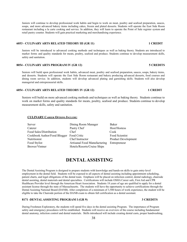Juniors will continue to develop professional work habits and begin to work on meat, poultry and seafood preparation, sauces, soups, and more advanced bakery items including cakes, frozen and plated desserts. Students will operate the East Side Room restaurant including a la carte cooking and service. In addition, they will learn to operate the Point of Sale register system and retail pastry counter. Students will gain practical marketing and merchandising experience.

### **6053 - CULINARY ARTS RELATED THEORY III (GR 11) 1 CREDIT**

Juniors will be introduced to advanced cooking methods and techniques as well as baking theory. Students are introduced to market forms and quality standards for meats, poultry, seafood and produce. Students continue to develop measurement skills, safety and sanitation.

### **8054 - CULINARY ARTS PROGRAM IV (GR 12) 5 CREDITS**

Seniors will build upon professional work habits, advanced meat, poultry and seafood preparation, sauces, soups, bakery items, and desserts. Students will operate the East Side Room restaurant and bakery producing advanced desserts, food courses and dining room service. In addition, students will develop advanced plating and garnishing skills. Students will also develop managerial and entrepreneurial skills.

### **6054 - CULINARY ARTS RELATED THEORY IV (GR 12) 1 CREDIT**

Seniors will build on more advanced cooking methods and techniques as well as baking theory. Students continue to work on market forms and quality standards for meats, poultry, seafood and produce. Students continue to develop measurement skills, safety and sanitation.

### **CULINARY CAREER OPTIONS INCLUDE:**

| Server                                   | Dining Room Manager          | Baker                      |
|------------------------------------------|------------------------------|----------------------------|
| Caterer                                  | Pastry Chef                  | Host/Hostess               |
| Food Sales/Distribution                  | Chef                         | Cook                       |
| Cookbook Author/Food Blogger Food Critic |                              | Food Scientist             |
| Nutritionist                             | Chef Instructor              | <b>Product Development</b> |
| Food Stylist                             | Artisanal Food Manufacturing | Entrepreneur               |
| Brewer/Vintner                           | Hotels/Resorts/Cruise Ships  |                            |

## **DENTALASSISTING**

The Dental Assisting Program is designed to prepare students with knowledge and hands-on skills to gain entry-level employment in the dental field. Students will be exposed to all aspects of dental assisting including appointment scheduling. patient charts, and legal obligations of the dental team. Emphasis will be placed on infection control, dental radiology, chairside dental assisting, dental materials and dental specialties. Certifications will include OSHA Career safe, First Aid and CPR Healthcare Provider level through the American Heart Association. Students 18 years of age are qualified to apply for a dental assistant license through the state of Massachusetts. The students will have the opportunity to achieve certifications through the Dental Assisting National Board (DANB). After completion of a minimum of 3,500 hours of work experience, the student will be eligible to take the Chairside portion of the DANB exam to obtain full certification as a dental assistant.

### **8171 -DENTALASSISTING PROGRAM I (GR 9) 3 CREDITS**

During Freshmen Exploratory, the students will spend five days in the dental assisting Program. The importance of Program safety and emergency procedures will be established. Students will receive an overview of the course including fundamental dental anatomy, infection control and dental materials. Skills introduced will include creating dental casts, proper handwashing,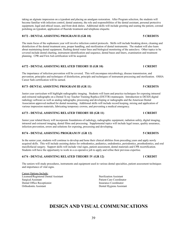taking an alginate impression on a typodont and placing an amalgam restoration. After Program selection, the students will become familiar with infection control, dental anatomy, the role and responsibilities of the dental assistant, personal protective equipment, legal and ethical issues, and front desk duties. Additional skills will include greeting and seating the patient, coronal polishing on typodont, application of fluoride treatment and telephone etiquette.

### **8172 - DENTALASSISTING PROGRAM II (GR 10) 5 CREDITS**

The main focus of the sophomore year will involve infection control protocols. Skills will include breaking down, cleaning and disinfection of the dental treatment area, proper handling, and sterilization of dental instruments. The student will also learn about maintaining dental equipment, flushing dental water lines and biological monitoring of the autoclave. Other topics to be covered include dental charting, instrument identification and sequence, dental bases and liners, examination and treatment planning. CPR and First Aid certification will be acquired.

### **6172 - DENTALASSISTING RELATED THEORY II (GR 10) 1 CREDIT**

The importance of infection prevention will be covered. This will encompass microbiology, disease transmission, and prevention, principles and techniques of disinfection, principle and techniques of instrument processing and sterilization. OSHA Career Safe certification will be earned.

### **8173 -DENTALASSISTING PROGRAM III (GR 11) 5 CREDITS**

Junior year curriculum will highlight radiographic imaging. Students will learn and practice techniques for exposing intraoral and extraoral radiographs on a Dental X-ray Teacher Training Replica (DXTTR) mannequin. Introduction to DEXIS digital radiology software as well as analog radiographs; processing and developing or radiographs and the American Dental Association approved method for dental mounting. Additional skills will include record keeping, mixing and application of various impression materials, fabricating temporary crowns, and preventing a medical emergency.

### **6173 - DENTALASSISTING RELATED THEORY III (GR 11) 1 CREDIT**

Junior year related theory will incorporate foundations of radiology, radiographic equipment, radiation safety, digital imaging, intraoral and extraoral imaging, dental films and processing. Supplemental topics will include legal issues, quality assurance, infection prevention, errors and solutions for exposing, processing and developing.

### **8174 - DENTALASSISTING PROGRAM IV (GR 12) 5 CREDITS**

In the senior year, students will continue to develop and hone their clinical abilities from preceding years and apply newly acquired skills. This will include assisting duties for orthodontics, pediatrics, endodontics, periodontics, prosthodontics, and oral maxillofacial surgery. Support skills will include vital signs, patient assessment, dental materials and CPR recertification. Students will have the opportunity to work in a co-operative job to apply and refine their previous expertise.

### **6174 - DENTALASSISTING RELATED THEORY IV (GR 12) 1 CREDIT**

The seniors will study procedures, instruments and equipment used in various dental specialties, patient assessment techniques and importance of vital signs.

Career Options Include: Licensed/Registered Dental Assistant Surgical Assistant Surgical Assistant Patient Care Coordina Dental Office Receptionist Insurance Coordinator Orthodontic Assistant **Dental Hygiene Assistant** Dental Hygiene Assistant

Patient Care Coordinator

## **DESIGN AND VISUAL COMMUNICATIONS**

### 39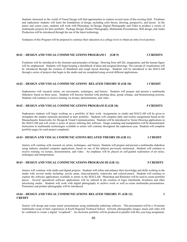Students interested in the world of Visual Design will find opportunities to explore several areas of this exciting field. Freshmen and sophomore students will learn the foundations of design, including color theory, drawing, perspective, and layout. In the junior and senior years, students will work with Photoshop, In-Design, Digital Photography and Video to produce a variety of multimedia projects for their portfolio. Package Design, Product Photography, Multimedia Presentations, Web design, and Audio Production will be introduced through the use of the latest technology.

Graduates of this Program will be prepared to continue their education at a college level or obtain an entry-level position.

### **8141 – DESIGN AND VISUAL COMMUNICATIONS PROGRAM I (GR 9) 3 CREDITS**

Freshmen will be introduced to the elements and principles of design. Drawing from still life, imagination, and the human figure will be emphasized. Students will begin keeping a sketchbook of ideas and assigned drawings. The concept of visualization will be introduced through the creation of thumbnail and rough layout drawings. Students will be introduced to the MACLAB through a series of projects that begin in the studio and are completed using several different applications.

### **6142 – DESIGN AND VISUAL COMMUNICATIONS RELATED THEORY II (GR 10) 1 CREDIT**

Sophomores will research artists, art movements, techniques, and history. Students will prepare and present a multimedia slideshow based on these areas. Students will become familiar with pitching ideas, group critique, and brainstorming sessions. Students will continue to receive training via lecture, demonstration, and video.

### **8142 – DESIGN AND VISUAL COMMUNICATIONS PROGRAM II (GR 10) 5 CREDITS**

Sophomore students will begin working on a portfolio of their work. Assignments in studio and MACLAB will be given to strengthen the student materials presented in their portfolio. Students will complete daily and weekly assignments based on the Massachusetts frameworks for Design & Visual Communications. Students will be introduced to Vector Drawing applications in the MACLAB and will create a series of pieces utilizing this software. Image scanning and manipulation will be demonstrated. Instruction in multimedia technologies available to artists will continue throughout the sophomore year. Students will complete portfolio pages for each project completed.

### **6143 - DESIGN AND VISUAL COMMUNICATIONS RELATED THEORY III (GR 11) 1 CREDIT**

Juniors will continue with research on artists, techniques, and history. Students will prepare and present a multimedia slideshow using industry standard computer applications, based on one of the subjects previously mentioned. Students will continue to receive training via lecture, demonstration, and video. An emphasis will be placed on self-guided exploration of art styles, techniques and interpretation.

### **8143 – DESIGN AND VISUAL COMMUNICATIONS PROGRAM III (GR 11) 5 CREDITS**

Juniors will continue with studio and digital projects. Students will refine and enhance their knowledge and skills working in the studio with several media including: acrylic paint, charcoal/pastels, watercolor and colored pencil. Students will continue to explore the software applications available to artists in the MACLAB. Photoshop and Illustrator will be used to create portfolio pieces. Several specialized software applications will be utilized in the creation of logos letterheads, brochures and other advertising media. Students will work with digital photography to archive work as well as create multimedia presentations. Portraiture and product photography will be introduced.

### **6144 – DESIGN AND VISUAL COMMUNICATIONS RELATED THEORY IV (GR 12) 1 CREDIT**

Seniors will design and create senior presentations using multimedia authoring software. This presentation will be a 10-minute multimedia recap of their experiences at Keefe Regional Technical School. Artwork, photographic images, music and video will be combined to create a digital "scrapbook". An electronic portfolio will be produced in parallel with this year long assignment.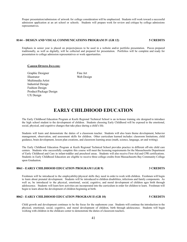Proper presentation/submission of artwork for college consideration will be emphasized. Students will work toward a successful admission application at an art school or schools. Students will prepare work for review and critique by college admissions representatives.

### **8144 – DESIGN AND VISUAL COMMUNICATIONS PROGRAM IV (GR 12) 5 CREDITS**

Emphasis in senior year is placed on projects/pieces to be used in a website and/or portfolio presentation. Pieces prepared traditionally, as well as digitally, will be collected and prepared for presentation. Portfolios will be complete and ready for presentation to college admission representatives or work opportunities.

### **CAREER OPTIONS INCLUDE:**

Graphic Designer Fine Art Illustrator Web Design Multimedia Artist Industrial Design Fashion Design Product/Package Design UX Design

## **EARLY CHILDHOOD EDUCATION**

The Early Childhood Education Program at Keefe Regional Technical School is an in-house training site designed to introduce the high school student to the development of children. Students choosing Early Childhood will be exposed to the emotional, social, physical, and cognitive changes that take place during a child's life.

Students will learn and demonstrate the duties of a classroom teacher. Students will also learn theme development, behavior management, observation, and assessment skills for children. Other curriculum learned includes: classroom limitations, child guidance, brain development, lesson plan creations, and classroom learning areas (math, science, language, art and writing).

The Early Childhood Education Program at Keefe Regional Technical School provides practice in different off-site child care centers. Students who successfully complete this course will meet the licensing requirements for the Massachusetts Department of Early Childhood and Care in infant-toddler and preschool areas. Students will also receive First-Aid and CPR certifications. Students in Early Childhood Education are eligible to receive three college credits from Massachusetts Bay Community College upon Graduation.

### **8061 - EARLY CHILDHOOD EDUCATION PROGRAM I (GR 9) 3 CREDITS**

Freshmen will be introduced to the employability/physical skills they need in order to work with children. Freshmen will begin to learn about prenatal development. Students will be introduced to children disabilities, infections and family components. As well as, be introduced to the physical, emotional, social, cognitive, and moral development of children ages birth through adolescence. Students will learn how activities are incorporated into the curriculum in order for children to learn. Freshman will begin to learn about the development of children beginning at birth.

### **8062 - EARLY CHILDHOOD EDUCATION PROGRAM II (GR 10) 5 CREDITS**

Child growth and development continues to be the focus for the sophomore year. Students will continue the introduction to the physical, emotional, social, cognitive, and moral development of children, birth through adolescence. Students will begin working with children in the childcare center to demonstrate the duties of classroom teachers.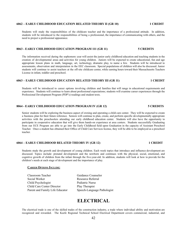### **6062 – EARLY CHILDHOOD EDUCATION RELATED THEORY II (GR 10) 1 CREDIT**

Students will study the responsibilities of the childcare teacher and the importance of a professional attitude. In addition, students will be introduced to the responsibilities of being a professional, the importance of communicating with others, and the need to project a professional appearance.

### **8063 - EARLY CHILDHOOD EDUCATION PROGRAM 111 (GR 11) 5 CREDITS**

The information received during the sophomore year will assist the junior early childhood education and teaching students in the creation of developmental areas and activities for young children. Juniors will be expected to create educational, fun and age appropriate lesson plans in math, language, art, technology, dramatic play, to name a few. Students will be introduced to assessments, observation and interpretation in the EEC classroom. Special populations of children will also be discussed. Junior students will continue to assist teachers at the off-site childcare center, while earning hours toward their Massachusetts Teachers License in infant, toddler and preschool.

### **6063 – EARLY CHILDHOOD EDUCATION RELATED THEORY III (GR 11) 1 CREDIT**

Students will be introduced to career options involving children and families that will range in educational requirements and experience. Students will continue to learn about professional expectations; students will examine career experiences through the Professional Development Program (PDP's) readings and student texts.

### **8064 - EARLY CHILDHOOD EDUCATION PROGRAM IV (GR 12) 5 CREDITS**

Senior students will be exploring the business aspect of owning and operating a child care center. They will be expected to create a business plan for their future reference. Seniors will continue to plan, create, and perform specific developmentally appropriate activities with the preschoolers attending our early childhood education center. Students will also have the opportunity to participate in cooperative education that will give them hands-on experience at area centers. Students successfully Graduating from our ECE Program are able to go into the Early Childhood field upon Graduation in the capacity of Assistant Preschool Teacher. Once a student has obtained their Office of Child Care Services license, they will be able to be employed as a preschool teacher.

### **6064 – EARLY CHILDHOOD RELATED THEORY IV (GR 12) 1 CREDIT**

Students study the growth and development of young children. Each week topics that introduce and influence development are discussed. Topics include: prenatal development and the newborn and continues with the physical, social, emotional, and cognitive growth of children from the infant through the five-year-old. In addition, students will look at how to provide for the children's needs at each stage of development and the importance of play.

### **CAREER OPTIONS INCLUDE:**

Classroom Teacher Guidance Counselor Social Worker Resource Referral Child Psychologist Pediatric Nurse Child Care Center Director Play Therapist Parent and Family Life Educator Speech-Language Pathologist

## **ELECTRICAL**

The electrical trade is one of the skilled trades of the construction industry, a trade where individual ability and motivation are recognized and rewarded. The Keefe Regional Technical School Electrical Department covers commercial, industrial, and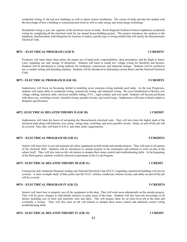residential wiring of old and new buildings as well as alarm system installation. The course of study provides the student with the knowledge of how a building is constructed and wired as well as solar energy and wind energy technology.

Residential wiring is just one segment of the electrical course of study. Keefe Regional Technical School emphasizes residential wiring by completing all the electrical work for our annual house-building project. This project introduces the students to the telephone, familiarization with blueprints for location of outlets, and the type of wiring method that will satisfy the Massachusetts Electrical Code.

### **8071 – ELECTRICAL PROGRAM I (GR 9) 3 CREDITS**

Freshmen will learn about shop safety, the proper use of hand tools, responsibilities, shop procedures, and the Right to Know Laws regarding use and storage of chemicals. Students will learn to install low voltage wiring for doorbells and buzzers. Students will be introduced to wiring methods for residential, commercial, and industrial settings. Students will be certified to use a conduit cutting and threading machine. Students will be introduced to alternating current theory and the National Electrical Code.

### **8072 - ELECTRICAL PROGRAM II (GR 10) 5 CREDITS**

Sophomores will focus on becoming skilled in installing seven common wiring methods used today. As the year Progresses, students will attain skills in residential wiring, commercial wiring, and industrial wiring. We cover installations of Romex, low voltage cabling, armored cable, electrical metallic tubing, P.V.C., rigid conduit, and wire mold. Students will become proficient with three-way switching circuits, doorbell circuits, parallel circuits, and switch loops. Sophomores will learn to bend conduit to blueprint specifications.

### **6072 -ELECTRICAL RELATED THEORY II (GR 10) 1 CREDIT**

Sophomores will learn the basics of navigating the Massachusetts electrical code. They will also learn the higher math of the electrical trade along with batteries wire sizing, voltage drop, switching, and series parallel circuits. Safety on and off the job will be covered. Also, they will learn O.S.H.A. and other safety organizations.

### **8073 – ELECTRICAL PROGRAM III (GR 11) 5 CREDITS**

Juniors will learn how to use and maintain all safety equipment on both inside and outside projects. They will train in all aspects of the electrical field. Students will be introduced to outside projects in the community and continue to work on jobs in the school itself. They will also train on lab volt trainers to sharpen their motor control and troubleshooting skills. At the beginning of the third quarter, students would be allowed to participate in the Co-op Program.

### **6073 - ELECTRICAL RELATED THEORY III (GR 11) 1 CREDIT**

Commercial and residential blueprint reading and National Electrical Code (N.E.C.) regarding commercial buildings will also be covered. A more in-depth study of blue prints and the N.E.C. articles, conductors, branch circuits, and safety on and off the job will be covered.

### **8074 – ELECTRICAL PROGRAM IV (GR 12) 5 CREDITS**

Seniors will learn how to properly use all the equipment in the shop. They will work more substantially on the outside projects. They will be given changes to individually advance in many areas of the trade. Students will also learn the knowledge of all factors including cost of tools and materials, time and labor. This will prepare them for an entry-level job in the trade and eventually a license. They will also train on lab volt trainers to sharpen their motor control and industrial control wiring troubleshooting skills.

### **6074 - ELECTRICAL RELATED THEORY IV (GR 12) 1 CREDIT**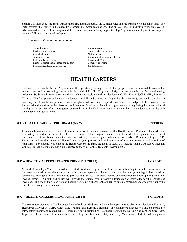Seniors will learn about industrial transformers, fire alarms, motors, N.E.C. motor rules and Programmable logic controllers. The math covered this year is inductance, transformer, and motor calculations. The N.E.C. codes on industrial work are covered. Also covered are: labor laws, wages and the current electrical industry, apprenticeship Programs and employment. A complete review of all safety is covered in-depth.

### **ELECTRICAL CAREER OPTIONS INCLUDE:**

- Apprenticeship Communications Electrical Construction Alarm System Installation Cable Installation Motor Control Signaling Systems Underground Service Installation Light and Power Systems Residential Wiring Electrical Motor Maintenance and Repair Commercial Wiring Equipment and Appliance Service Job Estimating
- 

## **HEALTH CAREERS**

Students in the Health Careers Program have the opportunity to acquire skills that prepare them for successful career entry, advancement, and/or continuing education in the health field. This Program is designed to focus on the certification of nursing assistants. Students will receive certification as a Nursing Assistant and certifications in OSHA, First Aid, CPR/AED, Dementia

Training. The first phase will emphasize foundation skills and common skills gloving, hand washing, and vital signs that are necessary in all health occupations. The second phase will focus on job-specific skills and knowledge. Skills learned will be introduced and practiced in the classroom and then transferred to residents in a long-term care setting during the career technical training activities. We often invite guest speakers in from the Healthcare Industry to share their knowledge and expertise with our students at all grade levels.

### **8091 - HEALTH CAREERS PROGRAM I (GR 9) 3 CREDITS**

Freshman Exploratory is a five-day Program designed to expose students to the Health Careers Program. The week long exploratory provides the student with an overview of the program course content, certifications policies and clinical opportunities. Students will learn the basics of first aid, how to recognize when someone needs CPR, and how to give CPR. Exploratory allows the student a "glimpse" into the aging process, and the importance of accurate measuring and recording of vital signs. For students who choose the Health Careers Program, the focus of study will include Health Care Safety, Infection Control, Professionalism, and basic skills related to the "Care of the Residents Environment".

### **6092 – HEALTH CAREERS RELATED THEORY II (GR 10) 1 CREDIT**

Medical Terminology Course is introduced. Students study the principles of medical word building to help the student develop the extensive medical vocabulary used in health care occupations. Students receive a thorough grounding in basic medical terminology through a study of root words, prefixes and suffixes. The study focuses on correct pronunciation, spelling and use of medical terms. This skill and ability will provide the student with a powerful foundation of knowledge for the language of medicine. The use of the "Dean Vaughn Learning System" will enable the student to quickly remember and effectively apply the 350 elements taught in this course.

### **8092 – HEALTH CAREERS PROGRAM II (GR 10) 5 CREDITS**

The sophomore students will be introduced to the healthcare industry and have the opportunity to obtain certification in First Aid, Heartsaver CPR/AED, OSHA Career Safe Training, and Dementia Training. The sophomore students will also be exposed to introductory theory and related skills. Topics include Understanding Healthcare Settings, the Nursing Assistant and Care Team, Legal and Ethical Issues, Communication, Preventing Infection, and Safety and Body Mechanics. Students will complete a

### 44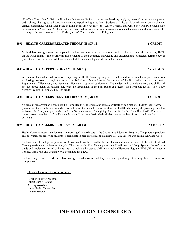"Pre-Care Curriculum". Skills will include, but are not limited to proper handwashing, applying personal protective equipment, bed making, vital signs, nail care, hair care, and repositioning a resident. Students will also participate in community volunteer clinical experiences which takes place in Long-Term Care Facilities, the Senior Centers, and Pearl Street Pantry. Students also participate in a "Sages and Seekers" program designed to bridge the gap between seniors and teenagers in order to generate the exchange of valuable wisdom. The "Body Systems" Course is started in 10th grade.

### **6093 – HEALTH CAREERS RELATED THEORY III (GR 11) 1 CREDIT**

Medical Terminology Course is completed. Students will receive a certificate of Completion for the course after achieving 100% on the Final Exam. The award will give evidence of their complete knowledge and understanding of medical terminology as presented in this course and will be a testament of the student's high academic achievement.

### **8093 – HEALTH CAREERS PROGRAM III (GR 11) 5 CREDITS**

As a junior, the student will focus on completing the Health Assisting Program of Studies and focus on obtaining certification as a Nursing Assistant through the American Red Cross, Massachusetts Department of Public Health, and Massachusetts Department of Elementary and Secondary Education approved curriculum. The student will complete theory and skills and provide direct, hands-on resident care with the supervision of their instructor at a nearby long-term care facility. The "Body Systems" course is completed in 11th grade.

### **6094 – HEALTH CAREERS RELATED THEORY IV (GR 12) 1 CREDIT**

Students in senior year will complete the Home Health Aide Course and earn a certificate of completion. Students learn how to provide assistance to those elders who choose to stay at home but require assistance with ADL, chronically ill, providing valuable assistance for family caregivers who need relief from the stress of caregiving. Prerequisite for the Home Health Aide Course is the successful completion of the Nursing Assistant Program. A basic Medical Math course has been incorporated into the curriculum.

### **8094 – HEALTH CAREERS PROGRAM IV (GR 12) 5 CREDITS**

Health Careers students' senior year are encouraged to participate in the Cooperative Education Program. The program provides an opportunity for deserving students to participate in paid employment in a related Health Careers area during their shop week.

Students who do not participate in Co-Op will continue their Health Careers studies and learn advanced skills that a Certified Nursing Assistant may learn on the job. The course, Certified Nursing Assistant II, will use the "Body Systems Course" as a guide and implement related skills pertinent to individual systems. Skills may include Electrocardiogram (EKG), Blood Glucose Testing, Urinalysis, and Cranial Nerve Testing, to list a few.

Students may be offered Medical Terminology remediation so that they have the opportunity of earning their Certificate of Completion.

### **HEALTH CAREER OPTIONS INCLUDE:**

Certified Nursing Assistant Patient Care Assistant Activity Assistant Home Health Care/Aides Dietary Assistant

## **INFORMATION TECHNOLOGY**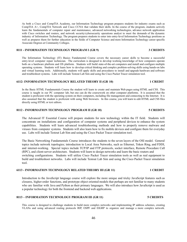As both a Cisco and CompTIA Academy, our Information Technology program prepares students for industry exams such as CompTIA A+, CompTIA Network and Cisco CCNA that validate their skills. In the course of the program, students actively learn the fundamentals of computer repair and maintenance, advanced networking technologies, advance network application with Cisco switches and routers, and network security/cybersecurity operations analyst to meet the demands of the dynamic industry of Information Technology. The program prepares students to enter into entry-level Information Technology positions as well as prepares them for further education in the fields of Computer Science and more Information Technology career specific Associate Degrees at Community Colleges.

### **8111 - INFORMATION TECHNOLOGY PROGRAM I (GR 9) 3 CREDITS**

The Information Technology (IT) Basics Fundamental Course covers the necessary career skills to become a successful entry-level computer repair technician. The curriculum is designed to develop working knowledge of how computers operate both on a hardware platform and OS platform. Students will build state-of-the-art computers and install and configure multiple operating systems. Students will learn how to develop critical thinking and complex problem-solving skills using hands-on labs and virtual learning tools. Additionally, students will apply skills and procedures to install and upgrade hardware and software and troubleshoot systems. Labs will include Testout Lab Sim and using the Cisco Packet Tracer simulation tool.

### **6112- INFORMATION TECHNOLOGY RELATED THEORY II (GR 10) 1 CREDIT**

In the Basic HTML Fundamentals Course the student will learn to create and maintain Web pages using HTML and CSS. This course is taught in our PC computer lab, but one can do the coursework on other computer platforms. It is assumed that the student is proficient with the operating system on their computers, including file management and connecting to the Internet. It is also assumed that the student is proficient with using Web browsers. In this course, you will learn to edit HTML and CSS files directly using HTML or text editors.

### **8112 - INFORMATION TECHNOLOGY PROGRAM II (GR 10) 5 CREDITS**

The Advanced IT Essential Course will prepare students for new technology within the IT field. Students will concentrate on installations and configuration of computer systems and peripheral devices to enhance the system capabilities. Students will learn advanced troubleshooting methods and how to properly remove malware and viruses from computer systems. Students will also learn how to fix mobile devices and configure them for everyday use. Labs will include Testout Lab Sim and using the Cisco Packet Tracer simulation tool.

The Basic Networking Fundamentals Course introduces the students to the seven layers of the OSI model. General topics include network topologies; introduction to Local Area Networks, such as Ethernet, Token Ring, and FDDI, and internet-working. Special topics include TCP/IP and FTP protocols, socket interface, Remote Procedure Call (RPC), and client-server architecture. Students will learn to design networks and learn the basic routers and switching configurations. Students will utilize Cisco Packet Tracer simulation tools as well as real equipment to build and troubleshoot networks. Labs will include Testout Lab Sim and using the Cisco Packet Tracer simulation tool.

### **6113 - INFORMATION TECHNOLOGY RELATED THEORY III (GR 11) 1 CREDIT**

Introduction to the JavaScript language course will explore the more unique and tricky JavaScript features such as closures, higher-order functions, and prototype object oriented models that perhaps are not familiar to many students who are familiar with Java and Python as their primary languages. We will also introduce how JavaScript is used as a popular technology for both the frontend and backend web applications.

### **8113 – INFORMATION TECHNOLOGY PROGRAM III (GR 11) 5 CREDITS**

This course is designed to challenge students to build more complex networks and implementing IP address schemes, creating VLANs and using advanced routing protocols RIP, OSPF and EIGRP to organize and manage a more complex network.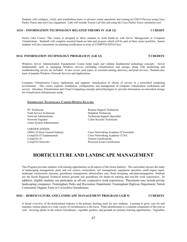Students will configure, verify, and troubleshoot basic to advance router operations and routing on CISCO Devices using Cisco Packet Tracer and real Cisco equipment. Labs will include Testout Lab Sim and using the Cisco Packet Tracer simulation tool.

### **6114 - INFORMATION TECHNOLOGY RELATED THEORY IV (GR 12) 1 CREDIT**

Senior Labs Course: This course is designed to allow students to work hands-on with Server Management or Computer Virtualization. StudentS will complete assorted hands-on labs and projects which will be part of their senior portfolio. Senior students will also concentrate on attaining certification in areas of COMPTIA/MTA/Cisco.

### **8114- INFORMATION TECHNOLOGY PROGRAM IV (GR 12) 5 CREDITS**

Windows Server Administration Fundamental Course helps teach and validate fundamental technology concepts. Server fundamentals such as managing Windows Servers (including virtualization) and storage, along with monitoring and troubleshooting servers are included. It also covers such topics as essential naming, directory, and print services. Students also learn of popular Windows Network Services and Applications.

Computer Virtualization Course implements and supports virtualization of clients of servers in a networked computing environment. This course explores installation, configuration, and management of computer virtualization workstation and servers. Introduce Virtualization and Cloud Computing concepts and technologies to provide information on networked storage for virtualization infrastructure needs.

### **INFORMATION TECHNOLOGY CAREER OPTIONS INCLUDE:**

PC Technician Remote Support Technician Field Service Technician Helpdesk Technician Network Engineer Cyber-Security Technician Linux System Administrator

CERTIFICATIONS: CompTIAA+ Testout Certifications CompTIA Network+ Precision Exam Certification

Network Administrator Technician Support Specialist

OSHA 10 Hour General Industry Cisco Networking Academy IT Essentials CompTIA IT Fundamentals Cisco Networking Academy CCNA

## **HORTICULTURE AND LANDSCAPE MANAGEMENT**

This Program provides students with training opportunities in all aspects of the Green Industry. The curriculum stresses the study of landscaping management, plant and soil science, horticulture, turf management, equipment operation, small engine repair, landscape construction, masonry, greenhouse management, arboriculture care, floral designing, and plant propagation. Students use the Keefe Regional Technical School grounds and greenhouse for hands-on training and real-life work experiences. In addition, eligible students can participate in off-site cooperative work experiences. Placements may include private landscaping companies, Framingham Parks and Recreation Department, Framingham Highway Department, Natick Community Organic Farm or Cavicchios Greenhouses.

### **8101 - HORTICULTURE AND LANDSCAPE MANAGEMENT PROGRAM I (GR 9) 3 CREDITS**

A broad overview of the horticultural industry is the primary learning track for new students. Learning to grow, care for and maintain various plants in a wide variety of circumstances is the focus. Plant identification is a constant component of the year as well. Growing plants in the school Greenhouse, vegetable gardens, and grounds are primary learning opportunities. Vegetables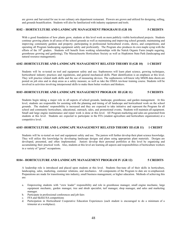are grown and harvested for use in our culinary arts department restaurant. Flowers are grown and utilized for designing, selling, and grounds beautification. Students will also be familiarized with industry equipment and tools.

### **8102 – HORTICULTURE AND LANDSCAPE MANAGEMENT PROGRAM II (GR 10) 5 CREDITS**

With a good foundation of how plants grow, students at this level work on more publicly visible horticultural projects. Students continue growing plants in all areas of the school grounds as well as maintaining and improving school grounds; maintaining and improving community gardens and property; participating in professional horticultural events, shows, and competitions; and operating all Program landscaping equipment safely and proficiently. The Program also produces its own maple syrup with the efforts of the  $10<sup>th</sup>$  graders. Students will benefit from working relationships with the Natick Organic Farm (maple sugaring, greenhouse growing and gardening), The Massachusetts Horticulture Society as well as Hopkinton State Park (landscaping and natural resource management).

### **6102 -HORTICULTURE AND LANDSCAPE MANAGEMENT RELATED THEORY II (GR 10) 1 CREDIT**

Students will be re-tested on tool and equipment safety and use. Sophomores will learn plant science, growing techniques, horticultural industry practices and regulations, and general mechanical skills. Plant identification is an emphasis at this level. They will practice related math skills and the use of measuring devices. The sophomores will know why MSDS data sheets are posted on job sites and in shop areas as a safety measure, as well as take the OSHA ten-hour training course. Students will be involved in activities involving interpersonal skills to make them better workers and thinkers.

### **8103 -HORTICULTURE AND LANDSCAPE MANAGEMENT PROGRAM III (GR 11) 5 CREDITS**

Students begin taking a major role in all aspects of school grounds, landscape, greenhouse, and garden management. At this level, students are responsible for assisting with the planning and timing of all landscape and horticultural work on the school grounds. The students' responsibility is increased and they are expected to take initiative and represent the Program for all school and community horticulture, educational, outreach, sales, and promotional events**.** Students will maintain all equipment. Small and large engine maintenance and repair work is done at this level. All Program marketing and sales are generated from students at this level. Students are expected to participate in the FFA (student agriculture and horticulture organization) at a competitive level.

### **6103 -HORTICULTURE AND LANDSCAPE MANAGEMENT RELATED THEORY III (GR 11) 1 CREDIT**

Students will be re-tested on tool and equipment safety and use. The juniors will further develop their plant science knowledge. They will utilize this knowledge by developing landscape designs and plans using appropriate plant materials. Designs are developed, presented, and often implemented. Juniors develop their personal portfolios at this level by organizing and accumulating their practical work. Also, students at this level are learning all aspects and responsibilities of horticulture workers in a variety of "green" occupations.

### **8104 - HORTICULTURE AND LANDSCAPE MANAGEMENT PROGRAM IV (GR 12) 5 CREDITS**

A leadership role is introduced and placed upon students at this level. Students fine-tune all of their skills in horticulture, landscaping, sales, marketing, customer relations, and mechanics. All components of the Program to date are re-emphasized. Preparations are made for transitioning into industry, small business management, or higher education. Methods of achieving this are:

- a. Empowering students with "crew leader" responsibility and role in greenhouse manager, small engine mechanic, large equipment mechanic, garden manager, tree and shrub specialist, turf manager, shop manager, and sales and marketing manager.
- b. Participate in professional conferences and job fairs
- c. FFA and SkillsUSA competitions
- d. Participation in Horticultural Cooperative Education Experiences (each student is encouraged to do a minimum of a trimester at a workplace).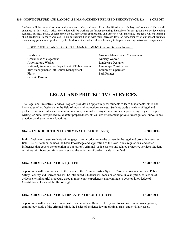### **6104 -HORTICULTURE AND LANDSCAPE MANAGEMENT RELATED THEORY IV (GR 12) 1 CREDIT**

Students will be re-tested on tool and equipment safety and use. Plant identification, vocabulary, and science skills are all enhanced at this level. Also, the seniors will be working on further preparing themselves for post-graduation by developing resumes, business plans, college applications, scholarship applications, and other relevant materials. Students will be learning about leadership in the workplace. This curriculum ties in with their increased level of responsibility on our school grounds maintaining grounds and gardens. By the third trimester, students should be ready to be placed on cooperative work experiences.

### HORTICULTURE AND LANDSCAPE MANAGEMENT **CAREER OPTIONS INCLUDE:**

Landscaper Grounds Maintenance Management Greenhouse Management Nursery Worker Arboriculture Worker Landscape Designer National, State, or City Department of Public Works Landscape Construction Turf Management/Golf Course Management Equipment Operators Florist Park Ranger Organic Farming

## **LEGALAND PROTECTIVE SERVICES**

The Legal and Protective Services Program provides an opportunity for students to learn fundamental skills and knowledge of professionals in the field of legal and protective services. Students study a variety of legal and protective service skills such as communications, criminal investigation, crime scene processing, objective report writing, criminal law procedure, disaster preparedness, ethics, law enforcement, private investigations, surveillance practices, and government functions.

### **8161 – INTRODUCTION TO CRIMINAL JUSTICE (GR 9) 3 CREDITS**

In this freshman course, students will engage in an introduction to the careers in the legal and protective services field. The curriculum includes the basic knowledge and application of the laws, rules, regulations, and other influences that govern the operation of our nation's criminal justice system and related protective services. Student activities will focus on safety practices and the activities of professionals in the field.

### **8162 –CRIMINAL JUSTICE I (GR 10) 5 CREDITS**

Sophomores will be introduced to the basics of the Criminal Justice System. Career pathways in in Law, Public Safety Security and Corrections will be introduced. Students will focus on criminal investigation, collection of evidence, criminal trial procedure through moot court experiences, and continue to develop knowledge of Constitutional Law and the Bill of Rights.

### **6162 –CRIMINAL JUSTICE I RELATED THEORY I (GR 10) 1 CREDIT**

Sophomores will study the criminal justice and civil law. Related Theory will focus on criminal investigations, criminology study of the criminal mind, the basics of evidence law in criminal trials, and civil law cases.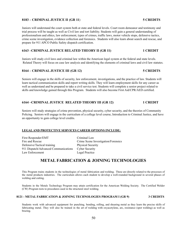### **8183 – CRIMINAL JUSTICE II (GR 11**) **5 CREDITS**

Juniors will understand the court system both at state and federal levels. Court room demeanor and testimony and trial process will be taught as well as Civil law and tort liability. Students will gain a general understanding of professionalism and ethics, law enforcement, types of crimes, traffic laws, motor vehicle stops, defensive tactics, crime scene investigation, evidence collection and forensics. Students will also learn about search and rescue, and prepare for 911 APCO Public Safety dispatch certification.

### **6163 –CRIMINAL JUSTICE RELATED THEORY II (GR 11) 1 CREDIT**

Juniors will study civil laws and criminal law within the American legal system at the federal and state levels. Related Theory will focus on case law analysis and identifying the elements of criminal laws and civil law statutes.

### **8164 – CRIMINAL JUSTICE III (GR 12) 5 CREDITS**

Seniors will engage in the skills of security, law enforcement, investigations, and the practice of law. Students will learn tactical communication skills and report writing skills. They will learn employment skills for any career as well as understand and be prepared to take a civil service test. Students will complete a senior project related to skills and knowledge gained through this Program. Students will also become First Aid/CPR/AED certified.

### **6164 –CRIMINAL JUSTICE RELATED THEORY III (GR 12) 1 CREDIT**

Seniors will study strategies of crime prevention, physical security, cyber security, and the theories of Community Policing. Seniors will engage in the curriculum of a college level course, Introduction to Criminal Justice, and have an opportunity to gain college level credits.

### **LEGALAND PROTECTIVE SERVICES CAREER OPTIONS INCLUDE:**

First Responder/EMT Criminal Law Fire and Rescue Crime Scene Investigation/Forensics Defensive/Tactical training Physical Security 911 Dispatch/Advanced Communications Cyber Security Law Enforcement Legal Practice

## **METAL FABRICATION & JOINING TECHNOLOGIES**

This Program trains students in the technologies of metal fabrication and welding. These are directly related to the processes of the metal products industries. The curriculum allows each student to develop a well-rounded background in several phases of welding and cutting.

Students in the Metals Technology Program may attain certification for the American Welding Society. The Certified Welder (CW) Program tests to procedures used in the structural steel welding.

### **8121 - METAL FABRICATION & JOINING TECHNOLOGIES PROGRAM I (GR 9) 3 CREDITS**

Students work with advanced equipment for punching, bending, rolling, and shearing metal as they learn the precise skills of fabricating metal. They will also be trained in the art of welding with oxyacetylene, arc, resistance (spot welding) as well as brazing.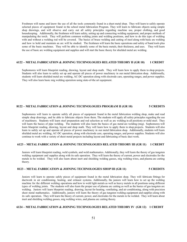Freshmen will name and know the use of all the tools commonly found in a sheet metal shop. They will learn to safely operate selected pieces of equipment found in the school metal fabrication Program. They will learn to fabricate objects using simple shop drawings, and will observe and carry out all safety principles regarding machine use, proper clothing, and good housekeeping. Additionally, the freshmen will learn safety, setting up and connecting welding equipment, and proper methods of manipulating the torch. They will perform common welding joints and welding positions, and how to do this type of welding with and without a welding rod will be covered. The basics of braze welding and cutting of steel along with basic arc welding and how to hold and maintain an arc will be studied. The freshmen will learn the basic operations and safety of hand tools plus some of the basic machines. They will be able to identify some of the basic metals, their thickness, and uses. They will learn the use of basic arc welding equipment and supplies and will start the basic theory for shielded metal arc welding.

### **6122 – METAL FABRICATION & JOINING TECHNOLOGIES RELATED THEORY II (GR 10) 1 CREDIT**

Sophomores will learn blueprint reading, drawing, layout and shop math. They will learn how to apply them to shop projects. Students will also learn to safely set up and operate all pieces of power machinery in our metal fabrication shop. Additionally, students will learn shielded metal arc welding, AC-DC operation along with electrode care, operating ranges, and power supplies. They will also learn basic mig welding operation using state-of-the art equipment.

### **8122 – METAL FABRICATION & JOINING TECHNOLOGIES PROGRAM II (GR 10) 5 CREDITS**

Sophomores will learn to operate safely all pieces of equipment found in the metal fabrication welding shop, make and read simple shop drawings, and be able to fabricate objects from them. The students will apply all safety principles regarding the use of machinery. Students will learn steel preparation and rod selection as well as arc welding in all positions or mild steel. They will learn the basics of pipe welding. The students will also learn the basics of gas metal arc welding (mig). Sophomores will learn blueprint reading, drawing, layout and shop math. They will learn how to apply them to shop projects. Students will also learn to safely set up and operate all pieces of power machinery in our metal fabrication shop. Additionally, students will learn shielded metal arc welding, AC-DC operation, along with electrode care, operating ranges, and power supplies. Students will also continue to work with a variety of sheet metal projects including layout and fabricating of basic duct work.

### **6123 – METAL FABRICATION & JOINING TECHNOLOGIES RELATED THEORY III (GR 11) 1 CREDIT**

Juniors will learn blueprint reading, weld symbols, and weld mathematics. Additionally, they will learn the theory of gas tungsten welding equipment and supplies along with its safe operation. They will learn the theory of current, power and electrodes for the metals to be welded. They will also learn about inert and shielding welding gasses, mig welding wires, and plasma arc cutting theory.

### **8123 – METAL FABRICATION & JOINING TECHNOLOGIES SHOP III (GR 11) 5 CREDITS**

Juniors will learn to operate safely pieces of equipment found in the metal fabrication shop. They will fabricate fittings for ductwork in air conditioning, heating, and exhaust systems. Additionally, the juniors will learn how to set up the welding machine for the different welding operations and how to weld light metals as well as heavy metals in all positions using different types of welding joints. The students will also learn the proper use of plasma arc cutting as well as the basics of gas tungsten arc welding. Juniors will learn blueprint reading, drawing, layout for heating, ventilating, and air conditioning, along with precision sheet metal mathematics. Additionally, juniors will learn the theory of gas tungsten welding equipment and supplies along with its safe operation. They will learn the theory of current, power, and electrodes for the metals to be welded. They will learn about inert and shielding welding gasses, mig welding wires, and plasma arc cutting theory.

### **6124 – METAL FABRICATION & JOINING TECHNOLOGIES RELATED THEORY IV (GR 12) 1 CREDIT**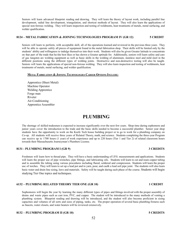Seniors will learn advanced blueprint reading and drawing. They will learn the theory of layout work, including parallel line development, radial line development, triangulation, and shortcut methods of layout. They will also learn the applications of special non-ferrous welding. They will learn inspection and testing of weldments, heat treatments of metals, metal surfacing, and welder qualification.

### **8124 – METAL FABRICATION & JOINING TECHNOLOGIES PROGRAM IV (GR 12) 5 CREDIT**

Seniors will learn to perform, with acceptable skill, all of the operations learned and reviewed in the previous three years. They will be able to operate safely all pieces of equipment found in the metal fabrication shop. Their skills will be limited only by the students' ability and willingness to indulge themselves into their work. Students will also be given Greater latitude to concentrate on that part of the trade that he/she best likes or has shown a Greater aptitude for. Additionally, seniors will learn safety and care of gas tungsten arc welding equipment as well as basic skills in the welding of aluminum, stainless steel and mild steel in the different positions using the different types of welding joints. Destructive and non-destructive testing will also be taught. Seniors will learn the applications of special non-ferrous welding. They will also learn inspection and testing of weldments, heat treatments of metals, metal surfacing, and welder qualification.

### **METAL FABRICATION & JOINING TECHNOLOGIES CAREER OPTIONS INCLUDE:**

Apprentice (Sheet Metal) Machine Operator Welding Apprentice Forge man Riveter Air-Conditioning Apprentice Assembler

## **PLUMBING**

The shortage of skilled tradesmen is expected to increase significantly over the next few years. Shop time during sophomore and junior years cover the introduction to the trade and the basic skills needed to become a successful plumber. Senior year shop students have the opportunity to work on the Keefe Tech house building project or to go to work for a plumbing company on Co-op. All students will receive three years of Related Theory, math, and science. Students completing the three-year Program can receive up to 1700 hours (1 year) of work experience and up to 220 hours (Tier 1 and Tier 2) of related classroom hours towards their Massachusetts Journeyman's Plumbers License.

### **8131 - PLUMBING PROGRAM I (GR 9) 3 CREDITS**

Freshmen will learn how to thread pipe. They will have a basic understanding of I.P.S. measurements and applications. Students will learn the proper use of pipe wrenches, pipe fittings, and lubricating oils. Students will learn to cut and ream copper tubing and to assemble the tubing using various procedures including flared, soldered and compression. Students will learn the proper use of torches. They will learn to set up a lead pot and to yarn, pour, and caulk a lead soil pipe joint. The students will also learn basic water and drain line sizing, laws and materials. Safety will be taught during each phase of the course. Students will begin studying Tier One topics and techniques.

### **6132 – PLUMBING RELATED THEORY TIER ONE (GR 10) 1 CREDIT**

Sophomores will begin the year by learning the many different types of pipes and fittings involved with the proper assembly of drains and waste pipes such as cast iron, PVC, and copper. The student will be introduced to the many methods of venting a plumbing system. Blueprint reading and drawing will be introduced, and the student will also become proficient in sizing capacities and volumes of all sorts and sizes of piping, tanks, etc. The proper operation of several basic plumbing fixtures such as faucets, water closets, and water heaters will be reviewed extensively.

### **8132 – PLUMBING PROGRAM II (GR 10) 5 CREDITS**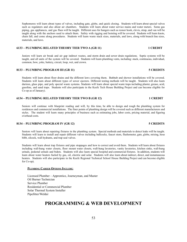53

Sophomores will learn about types of valves, including gate, globe, and quick closing. Students will learn about special valves such as regulators and also about air chambers. Students will learn about water service mains and water meters. Some gas piping, gas appliances, and gas flues will be taught. Different uses for hangers such as resnor hook, clevis, strap, and van will be taught along with the anchors used to attach them. Safety with rigging and hoisting will be covered. Students will learn knots, chain fall, and come along procedures. Students will learn waste stack sizes, materials, and laws, along with branch line sizes, materials, and laws.

### **6133 – PLUMBING RELATED THEORY TIER TWO A (GR 11) 1 CREDIT**

Juniors will learn air break and air gap indirect wastes, and storm drain and sewer drain regulations. Septic systems will be taught, and all units of the system will be covered. Students will learn plumbing vents, including: stack, continuous, individual, common, bow, yoke, battery, circuit, loop, wet, and crown.

### **8133 – PLUMBING PROGRAM III (GR 11) 5 CREDITS**

Students will learn about floor drains and the different laws covering them. Bathtub and shower installations will be covered. Students will learn about different types of sewer ejectors. Different testing methods will be taught. Students will also learn duriron, glass pipe, and poly special waste systems. Students will learn about special waste traps including plaster, grease, acid, gasoline, and sand traps. Students will also participate in the Keefe Tech House Building Project and can become eligible for Co-op as of January).

### **6134 – PLUMBING RELATED THEORY TIER TWO B (GR 12) 1 CREDIT**

Seniors will continue with blueprint reading and will, by this time, be able to design and rough the plumbing system for residences and commercial installations. The finer points of plumbing design will be covered such as different manufacturers and styles. The student will learn many principles of business such as estimating jobs, labor costs, pricing material, and figuring overhead costs.

### **8134 – PLUMBING PROGRAM IV (GR 12) 5 CREDITS**

Seniors will learn about repairing fixtures in the plumbing system. Special methods and materials to detect leaks will be taught. Students will learn to install and repair different valves including ballcocks, faucet stem, flushometer, gate, globe, mixing, hose bibb, silcock, wall hydrants, and trap seal valves.

Students will learn about trap fixtures and pipe stoppages and how to correct and avoid them. Students will learn about fixtures including wall-hung water closets, floor mount water closets, wall-hung lavatories, vanity lavatories, kitchen sinks, wall-hung urinals, pedestal urinals and bidets. Students will also learn special hospital and commercial fixtures. In addition, students will learn about water heaters fueled by gas, oil, electric and solar. Students will also learn about indirect, direct, and instantaneous heaters. Students will also participate in the Keefe Regional Technical School House Building Project and can become eligible for Co-op).

### **PLUMBING CAREER OPTIONS INCLUDE:**

Licensed Plumber – Apprentice, Journeyman, and Master Oil Burner Technician Service Plumber Residential or Commercial Plumber Solar Thermal System Installer Pipefitter/Welder

## **PROGRAMMING & WEB DEVELOPMENT**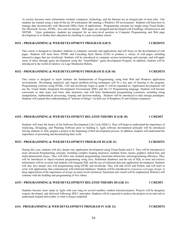As society becomes more information oriented, computers, technology, and the Internet are an integral part of most jobs. Our students are trained using a state-of-the-art 20-workstation lab running a Windows XP environment. Students will learn how to manage data electronically with Microsoft Office Suite of applications. Programming concepts are taught using Visual Studio, Net Microsoft Access, HTML, Java and JavaScript. Web pages are designed and developed with FrontPage, Dreamweaver and XHTML. Upon graduation, students are prepared for an entry-level position in Computer Programming and Web page development or to further their education by enrolling in a post-secondary school.

### **8151 - PROGRAMMING & WEB DEVELOPMENT PROGRAM (GR 9) 3 CREDITS**

This course is designed to introduce students to computer concepts and applications and will focus on the development of web pages. Students will learn basic HTML and Cascading Style Sheets (CSS) to produce a variety of web pages, including interactive pages that use JavaScript. Students will be introduced to computer science terminology and concepts, and will apply some of these through game development using the "GameMaker" game development Program. In addition, students will be introduced to the world of robotics via Lego Mindstorm Robots.

### **8152 - PROGRAMMING & WEB DEVELOPMENT PROGRAM II (GR 10) 5 CREDITS**

This course is designed to teach students the fundamentals of Programming, using both Web and Windows application environments. Developing analytical and logical problem-solving techniques will be a key part of learning to the program. Programming websites using HTML, CSS and JavaScript, begin in grade 9, will be expanded on. Application development will use the Visual Studio Integrated Development Environment (IDE) and the C# Programming language. Students will become conversant in data types and basic data structures, and will learn fundamental programming constructs, including string manipulation, mathematical processing, looping and decision-making. Students will be introduced to data storage paradigms. Students will expand their understanding of "internet of things" via their use of Raspberry Pi and Arduino computers.

### **6152 - PROGRAMMING & WEB DEVELOPMENT RELATED THEORY II (GR 10) 1 CREDIT**

Students will learn the basics of the Software Development Life Cycle (SDLC). They will begin to understand the importance of Analysing, Designing, and Planning Software prior to building it. Agile software development principle will be introduced forcing students to fully prepare a project at the beginning of their development process. In addition, students will understand the importance of presenting and documenting their work.

### **8153 - PROGRAMMING & WEB DEVELOPMENT PROGRAM III (GR 11) 5 CREDITS**

During this year, students will dive deeper into application development using Visual Studio and C#. They will be introduced to more advanced Programming concepts, including complex looping structures, multiple forms, menus, graphics, linked lists, and multi-dimensional arrays. They will delve into modular programming, functional abstraction, and programming efficiency. They will be introduced to object-oriented programming using Java. Relational databases and the use of SQL to store and retrieve information will be covered, and students will integrate SQL and the use of relational data into application development. Students will also dive deeper into web programming using HTML and JavaScript. They will add AJAX and Python, and will learn to write web applications that communicate with relational databases. Students will be introduced to *responsive web page design*. A deep appreciation of the importance of *design* on many levels (technical, functional and visual) will be emphasized. Robotics will continue with the building and programming of Vex robots.

### **6153 - PROGRAMMING & WEB DEVELOPMENT RELATED THEORY III (GR 11) 1 CREDIT**

Students become more adept at Agile with year long (or several smaller), student selected projects. Projects will be designed, scoped, developed, and delivered following SDLC principles. Students will be expected to analyze the projects at set intervals to understand original deliverable vs what is being completed.

### **8154** - **PROGRAMMING & WEB DEVELOPMENT PROGRAM IV (GR 12) 5 CREDITS**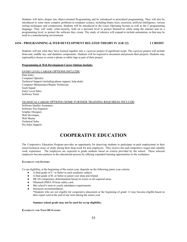Students will delve deeper into object-oriented Programming and be introduced to procedural programming. They will also be introduced to some more complex problems in computer science, including binary trees, recursion, artificial intelligence, various sorting techniques and compression. Students will be introduced to the Linux Operating System as well as the C programming language. They will study cyber-security, both on a personal level to protect themselves while using the internet and on a programming level, to protect the software they create. The study of robotics will expand to include automation, as that may be used in a manufacturing environment.

### **6154 - PROGRAMMING & WEB DEVELOPMENT RELATED THEORY IV (GR 12) 1 CREDIT**

Students will put what they have learned together into a *capstone* project of significant scope. The *capstone* project will include front-end, middle tier, and database components. Students will be required to document and present their projects. Students may )optionally) choose to create a phone or tablet App as part of their project.

### **Programming & Web Development Career Options Include:**

ENTRY LEVEL CAREER OPTIONS INCLUDE: Data Entry Computer Operator Technical Support (including phone support, help desk) Computer Maintenance/Repair Technician Geek Squad Entry Level Sales Software Tester

### TECHNICAL CAREER OPTIONS (SOME FURTHER TRAINING REQUIRED) INCLUDE:

Software Quality Assurance Software Test Engineer Graphic Designer, Web Developer, Web Master Technical Sales Pre-Sales Support

## **COOPERATIVE EDUCATION**

The Cooperative Education Program provides an opportunity for deserving students to participate in paid employment in their career/technical areas of study during their shop week for area employers. They receive fair and competitive wages and valuable work experience. The employers are expected to grade students based on criteria provided by the school. These selected employers become partners in the educational process by offering expanded learning opportunities in the workplace.

### **ELIGIBILITY FOR SENIORS:**

Co-op eligibility, at the beginning of the senior year, depends on the following junior year criteria:

- A final grade of C- or better in each academic subject.
- A final grade of B- or better in junior year shop and related.
- MCAS competency determination based on scores in all required areas.
- Obtained OSHA 10-hour safety card.
- Met school's term or yearly attendance requirements.
- Instructor recommendation. \*Students who are not eligible for cooperative placement at the beginning of grade 12 may become eligible based on their report card at the end of any term during the senior year.

### **Summer school grade may not be used for co-op eligibility.**

**ELIGIBILITY FOR TERM III JUNIORS:**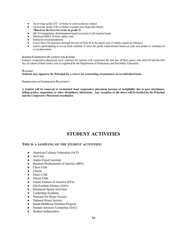- An average grade of C- or better in each academic subject.
- An average grade of B- or better in junior year shop and related. **\*Based on the first two terms in grade 11**
- MCAS competency determination based on scores in all required areas.
- Obtained OSHA 10-hour safety card.
- Instructor recommendation.
- Fewer than (10) absences through the end of Term II in the junior year (3 tardies equals an absence).
- Juniors participating in co-op must continue to meet the grade requirements based on year end grades to continue on co-op placement.

### **SUMMER COOPERATIVE PLACEMENT FOR JUNIORS:**

Summer cooperative placement (new contract) for juniors will commence the last day of their junior year and will end the first day of school of their senior year as regulated by the Department of Elementary and Secondary Education.

### **WAIVERS:**

**Students may appeal to the Principal for a waiver for extenuating circumstance on an individual basis.**

**TERMINATION OF COOPERATIVE PLACEMENT:**

A student will be removed or terminated from cooperative placement because of ineligibility due to poor attendance, failing grades, suspension, or other disciplinary infractions. Any exception to the above will be decided by the Principal **and the Cooperative Placement coordinator.**

## **STUDENT ACTIVITIES**

### **THIS IS A SAMPLING OF THE STUDENT ACTIVITIES:**

- American Culinary [Federation](http://www.keefetech.org/node/60) (ACF)
- Art Club
- Audio-Visual Assistant
- Business Professionals of America (BPA)
- Chess Club
- Chorus
- [Dance](http://www.keefetech.org/node/28) Club
- Drama Club
- Future Farmers of America (FFA)
- Gay/Lesbian Alliance (GSA)
- Intramural Sports Activities
- Leadership Academy
- National Art Honor Society
- National Honor Society
- South [Middlesex](http://www.keefetech.org/node/59) Scholars Program
- Student Advisory Committee (SAC)
- **Student Ambassadors**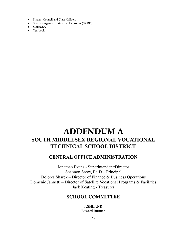- **Student Council and Class Officers**
- Students Against Destructive Decisions (SADD)
- SkillsUSA
- Yearbook

# **ADDENDUM A SOUTH MIDDLESEX REGIONAL VOCATIONAL TECHNICAL SCHOOL DISTRICT**

## **CENTRAL OFFICE ADMINISTRATION**

Jonathan Evans - Superintendent/Director Shannon Snow, Ed.D – Principal Dolores Sharek – Director of Finance & Business Operations Domenic Jannetti – Director of Satellite Vocational Programs & Facilities Jack Keating - Treasurer

## **SCHOOL COMMITTEE**

**ASHLAND** Edward Burman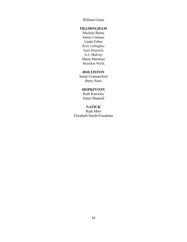William Gaine

## **FRAMINGHAM**

Michele Burns James Cameau Linda Fobes Rick Gallagher Sara Hamerla A.J. Mulvey Maria Martinez Brandon Ward,

## **HOLLISTON**

Sarah Commerford Barry Sims

## **HOPKINTON**

Ruth Knowles Jaime Shepard

## **NATICK**

Ruth Mori Elizabeth Smith-Freedman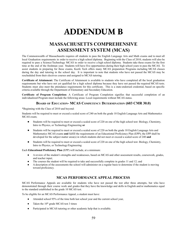# **ADDENDUM B**

## **MASSACHUSETTS COMPREHENSIVE ASSESSMENT SYSTEM (MCAS)**

The Commonwealth of Massachusetts requires all students to pass the English Language Arts and Math exams and to meet all local Graduation requirements in order to receive a high school diploma. Beginning with the Class of 2010, students will also be required to pass a Science/Technology MCAS in order to receive a high school diploma. Students take these exams for the first time at the end of the freshman year. Students will have five opportunities during their high school years to pass the MCAS. To assist students in preparing for these exams, Keefe Tech offers many MCAS preparation Programs including MCAS classes during the day and tutoring in the school day. It is important to note that students who have not passed the MCAS may be rescheduled from their electives courses and assigned to MCAS tutoring.

**Certificate of Attainment:** The Certificate of Attainment is available to students who have completed all the local graduation requirements but who have not yet qualified for a high school diploma because they have not passed the required MCAS tests. Students must also meet the attendance requirements for this certificate. This is a state-endorsed credential, based on specific criteria available through the Department of Elementary and Secondary Education.

**Certificate of Program Completion:** A Certificate of Program Completion signifies that successful completion of an individualized Program must include the following areas: Local requirements without MCAS status.

### **BOARD OF EDUCATION- MCAS COMPETENCY DETERMINATION (603 CMR 30.0)**

\*Beginning with the Class of 2010 and beyond:

Students will be required to meet or exceed a scaled score of 240 on both the grade 10 English Language Arts and Mathematics MCAS exam;

- Students will be required to meet or exceed a scaled score of 220 on one of the high school test- Biology, Chemistry, Intro to Physics, or Technology/Engineering **or**
- Students will be required to meet or exceed a scaled score of 220 on both the grade 10 English Language Arts and Mathematics MCAS exams **and** fulfill the requirements of an Educational Proficiency Plan (EPP); the EPP shall be developed for the subject matter area(s) in which students did not meet or exceed a scaled score of 240 **and**
- Students will be required to meet or exceed a scaled score of 220 on one of the high school test- Biology, Chemistry, Intro to Physics, or Technology/Engineering

Each **Educational Proficiency Plan** (EPP) will include, at a minimum:

- A review of the student's strengths and weaknesses, based on MCAS and other assessment results, coursework, grades, and teacher input;
- The courses the student will be required to take and successfully complete in grades 11 and 12; and
- A description of the assessments the school will administer on a regular basis to determine if the student is moving toward proficiency.

### **MCAS PERFORMANCE APPEAL PROCESS**

MCAS Performance Appeals are available for students who have not passed the test after three attempts, but who have demonstrated through their course work and grades that they have the knowledge and skills in English and/or mathematics equal to the standard established in the grade 10 MCAS test.

To be eligible for an MCAS Performance Appeal, a student must have:

- Attended school 95% of the time both last school year and the current school year,
- Taken the  $10^{th}$  grade MCAS test 3 times
- Participated in MCAS tutoring or other academic help that is available.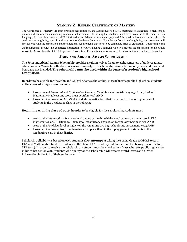## **STANLEY Z. KOPLIK CERTIFICATE OF MASTERY**

The Certificate of Mastery Program provides recognition by the Massachusetts State Department of Education to high school juniors and seniors for outstanding academic achievement. To be eligible, students must have taken the tenth grade English Language Arts and Mathematics MCAS test and score Advanced in one category and Advanced or Proficient in the other. To confirm your eligibility, consult with your school Guidance Counselor. Upon the confirmation of eligibility, your counselor will provide you with the application and the additional requirements that need to be completed prior to graduation. Upon completing

the requirement, provide the completed application to your Guidance Counselor who will process the application for the tuition waiver for Massachusetts State Colleges and Universities. For additional information, please consult your Guidance Counselor.

### **JOHN AND ABIGAIL ADAMS SCHOLARSHIP**

The John and Abigail Adams Scholarship provides a tuition waiver for up to eight semesters of undergraduate education at a Massachusetts state college or university. The scholarship covers tuition only; fees and room and board are not included. **The scholarship must be used within six years of a student's high school Graduation**.

In order to be eligible for the John and Abigail Adams Scholarship, Massachusetts public high school students in the **class of 2015 or earlier** must

- have scores of *Advanced* and *Proficient* on Grade 10 MCAS tests in English Language Arts (ELA) and Mathematics (at least one score must be *Advanced*) **AND**
- have combined scores on MCAS ELA and Mathematics tests that place them in the top 25 percent of students in the Graduating class in their district.

**Beginning with the class of 2016**, in order to be eligible for the scholarship, students must

- score at the *Advanced* performance level on one of the three high school state assessment tests in ELA, Mathematics, or STE (Biology, Chemistry, Introductory Physics, or Technology/Engineering); **AND**
- score at the *Proficient* level or higher on the remaining two high school state assessment tests; **AND**
- have combined scores from the three tests that place them in the top 25 percent of students in the Graduating class in their district.

Scholarship eligibility is based on each student's **first attempt** at taking the spring Grade 10 MCAS tests in ELA and Mathematics (and for students in the class of 2016 and beyond, first attempt at taking one of the four STE tests). In order to receive the scholarship, a student must be enrolled in a Massachusetts public high school in his or her senior year. Students who qualify for the scholarship will receive award letters and further information in the fall of their senior year.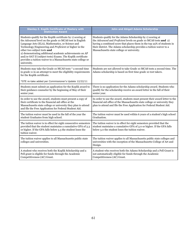| <b>Stanley Z. Koplik Certificate of Mastery with</b><br><b>Distinction Award</b>                                                                                                                                                                                                                                                                                                                                                                                               | <b>John and Abigail Adams Scholarship</b>                                                                                                                                                                                                                                                                                       |
|--------------------------------------------------------------------------------------------------------------------------------------------------------------------------------------------------------------------------------------------------------------------------------------------------------------------------------------------------------------------------------------------------------------------------------------------------------------------------------|---------------------------------------------------------------------------------------------------------------------------------------------------------------------------------------------------------------------------------------------------------------------------------------------------------------------------------|
| Students qualify for the Koplik certificate by 1) scoring at<br>the Advanced level on the grade 10 MCAS test in English<br>Language Arts (ELA), Mathematics, or Science and<br>Technology/Engineering and Proficient or higher in the<br>other two subject tests and<br>2) demonstrating additional academic achievements on AP<br>and/or SAT II (subject tests) Exams. The Koplik certificate<br>provides a tuition waiver to a Massachusetts state college or<br>university. | Students qualify for the Adams Scholarship by 1) scoring at<br>the Advanced and Proficient levels on grade 10 MCAS tests and 2)<br>having a combined score that places them in the top 25% of students in<br>their district. The Adams scholarship provides a tuition waiver to a<br>Massachusetts state college or university. |
| Students may take the Grade 10 MCAS tests * a second time<br>in grade 11 in an attempt to meet the eligibility requirements<br>for the Koplik certificate.                                                                                                                                                                                                                                                                                                                     | Students are not allowed to take Grade 10 MCAS tests a second time. The<br>Adams scholarship is based on first time grade 10 test takers.                                                                                                                                                                                       |
| *STE re-take added per Commissioner's Update 12/22/11                                                                                                                                                                                                                                                                                                                                                                                                                          |                                                                                                                                                                                                                                                                                                                                 |
| Students must submit an application for the Koplik award to<br>their guidance counselor by the beginning of May of their<br>senior year.                                                                                                                                                                                                                                                                                                                                       | There is no application for the Adams scholarship award. Students who<br>qualify for the scholarship receive an award letter in the fall of their<br>senior year.                                                                                                                                                               |
| In order to use the award, students must present a copy of<br>their certificate to the financial aid office at the<br>Massachusetts state college or university they plan to attend<br>and file the Free Application for Federal Student Aid.                                                                                                                                                                                                                                  | In order to use the award, students must present their award letter to the<br>financial aid office of the Massachusetts state college or university they<br>plan to attend and file the Free Application for Federal Student Aid.                                                                                               |
| The tuition waiver must be used in the fall of the year the<br>student Graduates from high school.                                                                                                                                                                                                                                                                                                                                                                             | The tuition waiver must be used within 6 years of a student's high school<br>Graduation.                                                                                                                                                                                                                                        |
| The tuition waiver is in effect for eight consecutive semesters<br>provided that the student maintains a cumulative GPA of 3.3<br>or higher. If the GPA falls below 3.3 the student loses the<br>tuition waiver.                                                                                                                                                                                                                                                               | The tuition waiver is in effect for eight semesters provided that the<br>student maintains a cumulative GPA of 3.0 or higher. If the GPA falls<br>below 3.0 the student loses the tuition waiver.                                                                                                                               |
| The tuition waiver applies to all Massachusetts public state<br>colleges and universities.                                                                                                                                                                                                                                                                                                                                                                                     | The tuition waiver applies to all Massachusetts public state colleges and<br>universities with the exception of the Massachusetts College of Art and<br>Design.                                                                                                                                                                 |
| A student who receives both the Koplik Scholarship and a<br>Pell grant is eligible for funds through the Academic<br>Competitiveness (AC) Grant.                                                                                                                                                                                                                                                                                                                               | A student who receives both the Adams Scholarship and a Pell Grant is<br>not automatically eligible for funds through the Academic<br>Competitiveness (AC) Grant.                                                                                                                                                               |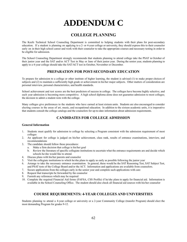# **ADDENDUM C**

## **COLLEGE PLANNING**

The Keefe Technical School Counseling Department is committed to helping students with their plans for post-secondary education. If a student is planning on applying to a 2- or 4-year college or university, they should express this to their counselor early on in their high school career and work with their counselor to take the appropriate courses and necessary testing in order to be eligible for admission.

The School Counseling Department strongly recommends that students planning to attend college take the PSAT in October of their junior year and the SAT and/or ACT Test in May or June of their junior year. During the senior year, students planning to apply to a 4-year college should take the SAT/ACT test in October, November or December.

### **PREPARATION FOR POST-SECONDARY EDUCATION**

To prepare for admission to a college or other institute of higher learning, the student is advised (1) to make proper choices of subjects and (2) to maintain a sufficiently high grade or achievement in his/her major subjects. Other matters of consideration are personal interview, personal characteristics, and health standards.

School achievement and test scores are the best predictors of success in college. The colleges have become highly selective, and each year admission is becoming more competitive. A high school diploma alone does not guarantee admission to most colleges; the decision to admit a student rests with the college.

Many colleges give preferences to the students who have earned at least sixteen units. Students are also encouraged to consider electing courses in the areas of art, music, and occupational education. In addition to the sixteen academic units, it is imperative that students consult the college catalogs and the counselors for up-to-date information about admission requirements.

### **CANDIDATES FOR COLLEGE ADMISSION**

### **General Information**

- 1. Students must qualify for admission to college by selecting a Program consistent with the admission requirement of most colleges
- 2. An applicant for college is judged on his/her achievement, class rank, results of entrance examinations, interview, and recommendations
- 3. The candidate should follow these procedures:
	- a. Make a firm decision that college is his/her goal
	- b. Review the literature of specific collegiate institutions to ascertain what the entrance requirements are and decide which schools he/she would like to attend.
- 4. Discuss plans with his/her parents and counselor
- 5. Visit the collegiate institutions to which he/she plans to apply as early as possible following the junior year
- 6. Arrange to take the necessary entrance examination. In general, these would be the SAT Reasoning Test, SAT Subject Test, and PSAT tests of the College Board and/or the ACT. Information and applications are available from counselors.
- 7. Secure applications from the colleges early in the senior year and complete such applications with care
- 8. Request that transcripts be forwarded by the counselor
- 9. Furnish any references which may be required
- 10. Complete the required Financial Aid forms (FAFSA, CSS Profile) if he/she plans to apply for financial aid. Information is available in the School Counseling Office. The student should also check all financial aid sources with his/her counselor

### **COURSE REQUIREMENTS: 4-YEAR COLLEGES AND UNIVERSITIES**

Students planning to attend a 4-year college or university or a 2-year Community College (transfer Program) should elect the most demanding Program for grades 9-12.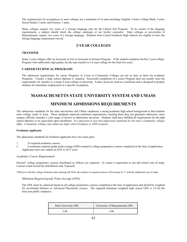The requirements for acceptances to most colleges are a minimum of 16 units including: English, 4 units; College Math, 3 units; Social Studies 2 units; and Science, 3 units.

Many colleges require two years of a foreign language only for the Liberal Arts Program. To be certain of the language requirements, a student should check the college catalogue or see his/her counselor. State colleges or universities of Massachusetts require two years of a foreign language. Students from Career/Technical High Schools are eligible to have the foreign language requirement waived.

### **2-YEAR COLLEGES**

### **TRANSFER**

Some 2-year colleges offer an Associate in Arts or Associate in Science Program. If the student completes his/her 2-year college Program with sufficiently high grades, he/she may transfer to a 4-year college for the final two years.

### **CAREER/TECHNICAL PROGRAMS**

The admission requirements for career Programs in 2-year or Community Colleges are not as strict as those for academic Programs. Usually a high school diploma is required. Successful completion of a career Program does not usually meet the requirements for transfer to a major 4-year college or university. It does, however, lead to a certificate and is designed to prepare students for immediate employment in a specific occupation.

## **MASSACHUSETTS STATE UNIVERSITY SYSTEM AND UMASS**

## **MINIMUM ADMISSIONS REQUIREMENTS**

The admissions standards for the state universities and UMass emphasize a strong academic high school background so that students enter college ready to learn. These standards represent minimum requirements; meeting them does not guarantee admission, since campus officials consider a *wide* range of factors in admissions decisions. Students shall have fulfilled all requirements for the high school diploma or its equivalent upon enrollment. It is important to note that admissions standards for the state's community colleges *differ. Community colleges may admit any high school Graduate or GED recipient.*

### **Freshman Applicants**

The admissions standards for freshmen applicants have two main parts:

- 1. 16 required academic courses,
- 2. A minimum required grade point average (GPA) earned in college preparatory courses completed at the time of application. Applicants must also submit an SAT or ACT score.

### *Academic Course Requirement:*

Sixteen\* college preparatory courses distributed as follows are required: (A course is equivalent to one full school year of study. Courses count toward the distribution only if passed)

\*Effective with the college freshman class entering fall 2016, the number of required courses will increase to 17 with the additional year of math.

*Minimum Required grade Point Average (GPA):*

The GPA must be achieved based on all college preparatory courses completed at the time of application and should be weighted for accelerated (Honors or Advanced Placement) courses. The required minimum weighted high school GPA is 3.0 for the four-year public campuses.

| <b>State University GPA</b> | University of Massachusetts GPA |
|-----------------------------|---------------------------------|
| 3.00                        | 3.00                            |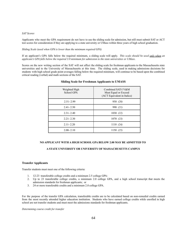### *SAT Scores*

Applicants who meet the GPA requirement do not have to use the sliding scale for admission, but still must submit SAT or ACT test scores for consideration if they are applying to a state university or UMass within three years of high school graduation.

### *Sliding Scale (used when GPA is lower than the minimum required GPA)*

If an applicant's GPA falls below the required minimum, a sliding scale will apply. *This scale should be used only when an applicant's GPA falls below the required 3.0 minimum for admission to the state universities or UMass*.

Scores on the new writing section of the SAT will not affect the sliding scale for freshman applicants to the Massachusetts state universities and to the University of Massachusetts at this time. The sliding scale, used in making admissions decisions for students with high school grade point averages falling below the required minimum, will continue to be based upon the combined critical reading (verbal) and math sections of the SAT.

| Weighted High<br>School GPA | Combined SAT-I V&M<br>Must Equal or Exceed<br>(ACT Equivalent in Italics) |
|-----------------------------|---------------------------------------------------------------------------|
| $2.51 - 2.99$               | 950 (20)                                                                  |
| $2.41 - 2.50$               | 990 (21)                                                                  |
| $2.31 - 2.40$               | 1030(22)                                                                  |
| $2.21 - 2.30$               | 1070(23)                                                                  |
| $2.11 - 2.20$               | 1110 $(24)$                                                               |
| $2.00 - 2.10$               | 1150 $(25)$                                                               |

### **Sliding Scale for Freshman Applicants to UMASS**

### **NO APPLICANT WITH A HIGH SCHOOL GPA BELOW 2.00 MAY BE ADMITTED TO**

### **A STATE UNIVERSITY OR UNIVERSITY OF MASSACHUSETTS CAMPUS**

### **Transfer Applicants**

Transfer students must meet one of the following criteria:

- 1. 12-23 transferable college credits and a minimum 2.5 college GPA:
- 2. Up to 23 transferable college credits, a minimum 2.0 college GPA, and a high school transcript that meets the admission standards for freshman applicants; or
- 3. 24 or more transferable credits and a minimum 2.0 college GPA.

For the purpose of the transfer GPA calculation, transferable credits are to be calculated based on non-remedial credits earned from the most recently attended higher education institution. Students who have earned college credits while enrolled in high school are not transfer students and must meet the admissions standards for freshman applicants.

*Determining course credit for transfer*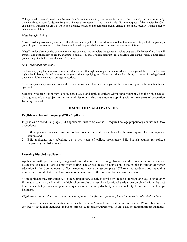College credits earned need only be transferable to the accepting institution in order to be counted, and not necessarily transferable to a specific degree Program. Remedial coursework is not transferable. For the purpose of the transferable GPA calculation, transferable credits are to be calculated based on non-remedial credits earned at the most recently attended higher education institution.

### *MassTransfer Policy*

**MassTransfer** provides any student in the Massachusetts public higher education system the intermediate goal of completing a portable general education transfer block which satisfies general education requirements across institutions.

**MassTransfer** also provides community college students who complete designated associate degrees with the benefits of the full transfer and applicability of credit, guaranteed admission, and a tuition discount (each benefit based on the student's final grade point average) to linked baccalaureate Programs.

### *Non-Traditional Applicants*

Students applying for admission more than three years after high school graduation, or who have completed the GED and whose high school class graduated three or more years prior to applying to college, must show their ability to succeed in college based upon their high school and/or college transcripts.

Some campuses may consider standardized test scores and other factors as part of the admissions process for non-traditional applicants.

Students who drop out of high school, earn a GED, and apply to college within three years of when their high school class graduated, are subject to the same admission standards as students applying within three years of graduation from high school.

### **EXCEPTION ALLOWANCES**

### **English as a Second Language (ESL) Applicants**

English as a Second Language (ESL) applicants must complete the 16 required college preparatory courses with two exceptions:

- 1. ESL applicants may substitute up to two college preparatory electives for the two required foreign language courses and,
- 2. ESL applicants may substitute up to two years of college preparatory ESL English courses for college preparatory English courses.

### **Learning Disabled Applicants**

Applicants with professionally diagnosed and documented learning disabilities (documentation must include diagnostic test results) are exempt from taking standardized tests for admission to any public institution of higher education in the Commonwealth. Such students, however, must complete 16\*\* required academic courses with a minimum required GPA of 3.00 or present other evidence of the potential for academic success.

\*\*An applicant may substitute two college preparatory electives for the two required foreign language courses only if the applicant has on file with the high school results of a psycho-educational evaluation completed within the past three years that provides a specific diagnosis of a learning disability and an inability to succeed in a foreign language.

### Eligibility for admission is not an entitlement of admission for any applicant, including learning disabled students.

This policy frames minimum standards for admission to Massachusetts state universities and UMass. Institutions are free to set higher standards and/or to impose additional requirements*.* In any case, meeting minimum standards